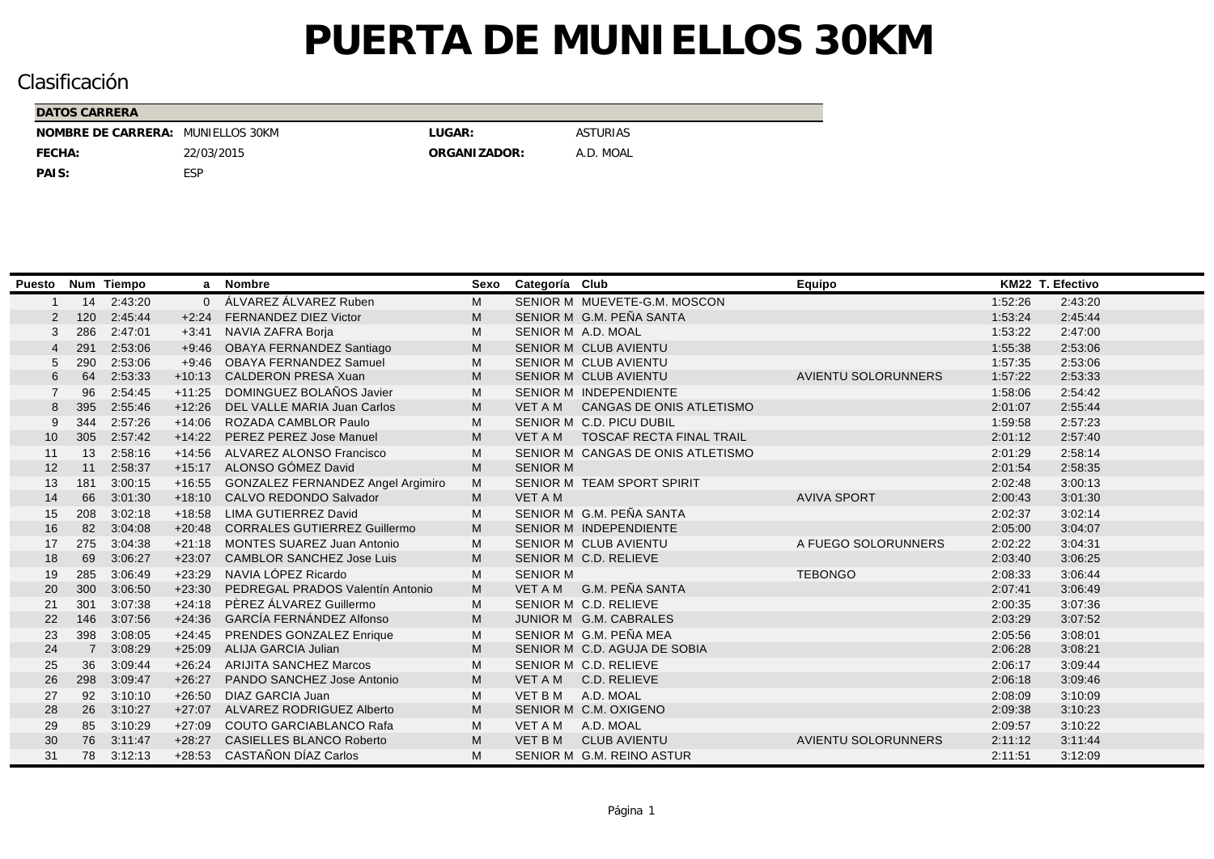| DATOS CARRERA                     |            |              |                 |
|-----------------------------------|------------|--------------|-----------------|
| NOMBRE DE CARRERA: MUNIELLOS 30KM |            | LUGAR:       | <b>ASTURIAS</b> |
| FECHA:                            | 22/03/2015 | ORGANIZADOR: | A.D. MOAL       |
| PAIS:                             | ESP        |              |                 |

| <b>Puesto</b> |                | Num Tiempo |          | a Nombre                            | Sexo | Categoría Club  |                                   | Equipo                     |         | KM22 T. Efectivo |
|---------------|----------------|------------|----------|-------------------------------------|------|-----------------|-----------------------------------|----------------------------|---------|------------------|
|               | 14             | 2:43:20    | $\Omega$ | ÁLVAREZ ÁLVAREZ Ruben               | M    |                 | SENIOR M MUEVETE-G.M. MOSCON      |                            | 1:52:26 | 2:43:20          |
| -2            | 120            | 2:45:44    | $+2.24$  | <b>FERNANDEZ DIEZ Victor</b>        | M    |                 | SENIOR M G.M. PEÑA SANTA          |                            | 1:53:24 | 2:45:44          |
| 3             | 286            | 2:47:01    | $+3:41$  | NAVIA ZAFRA Borja                   | м    |                 | SENIOR M A.D. MOAL                |                            | 1:53:22 | 2:47:00          |
|               | 291            | 2:53:06    | $+9:46$  | OBAYA FERNANDEZ Santiago            | M    |                 | <b>SENIOR M CLUB AVIENTU</b>      |                            | 1:55:38 | 2:53:06          |
| 5             | 290            | 2:53:06    | $+9.46$  | <b>OBAYA FERNANDEZ Samuel</b>       | м    |                 | SENIOR M CLUB AVIENTU             |                            | 1:57:35 | 2:53:06          |
|               | 64             | 2:53:33    | $+10:13$ | <b>CALDERON PRESA Xuan</b>          | M    |                 | SENIOR M CLUB AVIENTU             | <b>AVIENTU SOLORUNNERS</b> | 1:57:22 | 2:53:33          |
|               | 96             | 2:54:45    | $+11:25$ | DOMINGUEZ BOLAÑOS Javier            | M    |                 | SENIOR M INDEPENDIENTE            |                            | 1:58:06 | 2:54:42          |
|               | 395            | 2:55:46    | $+12:26$ | DEL VALLE MARIA Juan Carlos         | M    | <b>VET A M</b>  | CANGAS DE ONIS ATLETISMO          |                            | 2:01:07 | 2:55:44          |
|               | 344            | 2:57:26    | $+14:06$ | <b>ROZADA CAMBLOR Paulo</b>         | M    |                 | SENIOR M C.D. PICU DUBIL          |                            | 1:59:58 | 2:57:23          |
| 10            | 305            | 2:57:42    | $+14:22$ | PEREZ PEREZ Jose Manuel             | M    | <b>VET A M</b>  | <b>TOSCAF RECTA FINAL TRAIL</b>   |                            | 2:01:12 | 2:57:40          |
| 11            | 13             | 2:58:16    | $+14:56$ | <b>ALVAREZ ALONSO Francisco</b>     | M    |                 | SENIOR M CANGAS DE ONIS ATLETISMO |                            | 2:01:29 | 2:58:14          |
| 12            | 11             | 2:58:37    | $+15:17$ | ALONSO GÓMEZ David                  | M    | <b>SENIOR M</b> |                                   |                            | 2:01:54 | 2:58:35          |
| 13            | 181            | 3:00:15    | $+16:55$ | GONZALEZ FERNANDEZ Angel Argimiro   | M    |                 | SENIOR M TEAM SPORT SPIRIT        |                            | 2:02:48 | 3:00:13          |
| 14            | 66             | 3:01:30    | $+18:10$ | CALVO REDONDO Salvador              | M    | <b>VET A M</b>  |                                   | <b>AVIVA SPORT</b>         | 2:00:43 | 3:01:30          |
| 15            | 208            | 3:02:18    | $+18:58$ | <b>LIMA GUTIERREZ David</b>         | M    |                 | SENIOR M G.M. PEÑA SANTA          |                            | 2:02:37 | 3:02:14          |
| 16            | 82             | 3:04:08    | $+20:48$ | <b>CORRALES GUTIERREZ Guillermo</b> | M    |                 | SENIOR M INDEPENDIENTE            |                            | 2:05:00 | 3:04:07          |
| 17            | 275            | 3:04:38    | $+21:18$ | <b>MONTES SUAREZ Juan Antonio</b>   | M    |                 | SENIOR M CLUB AVIENTU             | A FUEGO SOLORUNNERS        | 2:02:22 | 3:04:31          |
| 18            | 69             | 3:06:27    | $+23:07$ | <b>CAMBLOR SANCHEZ Jose Luis</b>    | M    |                 | SENIOR M C.D. RELIEVE             |                            | 2:03:40 | 3:06:25          |
| 19            | 285            | 3:06:49    | $+23:29$ | NAVIA LÓPEZ Ricardo                 | M    | <b>SENIOR M</b> |                                   | <b>TEBONGO</b>             | 2:08:33 | 3:06:44          |
| 20            | 300            | 3:06:50    | $+23:30$ | PEDREGAL PRADOS Valentín Antonio    | M    | <b>VET A M</b>  | G.M. PEÑA SANTA                   |                            | 2:07:41 | 3:06:49          |
| 21            | 301            | 3:07:38    | $+24:18$ | PÈREZ ÁLVAREZ Guillermo             | M    |                 | SENIOR M C.D. RELIEVE             |                            | 2:00:35 | 3:07:36          |
| 22            | 146            | 3:07:56    | $+24:36$ | <b>GARCÍA FERNÁNDEZ Alfonso</b>     | M    |                 | JUNIOR M G.M. CABRALES            |                            | 2:03:29 | 3:07:52          |
| 23            | 398            | 3:08:05    | $+24:45$ | PRENDES GONZALEZ Enrique            | M    |                 | SENIOR M G.M. PEÑA MEA            |                            | 2:05:56 | 3:08:01          |
| 24            | $\overline{7}$ | 3:08:29    | $+25:09$ | <b>ALIJA GARCIA Julian</b>          | M    |                 | SENIOR M C.D. AGUJA DE SOBIA      |                            | 2:06:28 | 3:08:21          |
| 25            | 36             | 3:09:44    | $+26:24$ | <b>ARIJITA SANCHEZ Marcos</b>       | M    |                 | SENIOR M C.D. RELIEVE             |                            | 2:06:17 | 3:09:44          |
| 26            | 298            | 3:09:47    | $+26:27$ | PANDO SANCHEZ Jose Antonio          | M    | <b>VET A M</b>  | C.D. RELIEVE                      |                            | 2:06:18 | 3:09:46          |
| 27            | 92             | 3:10:10    | $+26:50$ | DIAZ GARCIA Juan                    | M    | <b>VET BM</b>   | A.D. MOAL                         |                            | 2:08:09 | 3:10:09          |
| 28            | 26             | 3:10:27    | $+27:07$ | ALVAREZ RODRIGUEZ Alberto           | M    |                 | SENIOR M C.M. OXIGENO             |                            | 2:09:38 | 3:10:23          |
| 29            | 85             | 3:10:29    | $+27:09$ | <b>COUTO GARCIABLANCO Rafa</b>      | M    | <b>VET A M</b>  | A.D. MOAL                         |                            | 2:09:57 | 3:10:22          |
| 30            | 76             | 3:11:47    | $+28:27$ | <b>CASIELLES BLANCO Roberto</b>     | M    | <b>VET BM</b>   | <b>CLUB AVIENTU</b>               | <b>AVIENTU SOLORUNNERS</b> | 2:11:12 | 3:11:44          |
| 31            | 78             | 3:12:13    |          | +28:53 CASTAÑON DÍAZ Carlos         | M    |                 | SENIOR M G.M. REINO ASTUR         |                            | 2:11:51 | 3:12:09          |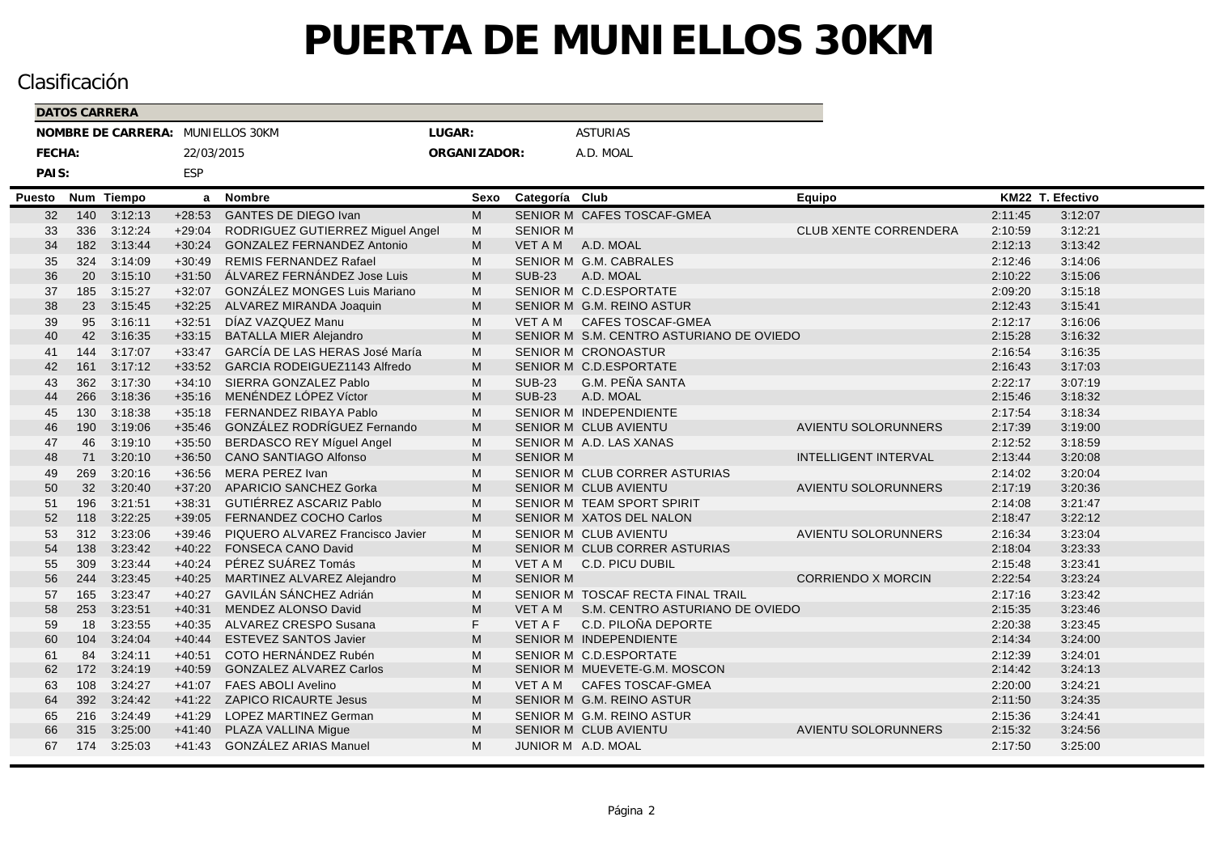|        |        | <b>DATOS CARRERA</b> |                                   |            |                                   |              |                 |                                          |                              |         |                  |  |
|--------|--------|----------------------|-----------------------------------|------------|-----------------------------------|--------------|-----------------|------------------------------------------|------------------------------|---------|------------------|--|
|        |        |                      | NOMBRE DE CARRERA: MUNIELLOS 30KM |            |                                   | LUGAR:       |                 | <b>ASTURIAS</b>                          |                              |         |                  |  |
|        | FECHA: |                      |                                   | 22/03/2015 |                                   | ORGANIZADOR: |                 | A.D. MOAL                                |                              |         |                  |  |
|        | PAIS:  |                      |                                   | ESP        |                                   |              |                 |                                          |                              |         |                  |  |
| Puesto |        | Num                  | <b>Tiempo</b>                     | a          | <b>Nombre</b>                     | Sexo         | Categoría Club  |                                          | Equipo                       |         | KM22 T. Efectivo |  |
|        | 32     | 140                  | 3:12:13                           | $+28:53$   | <b>GANTES DE DIEGO Ivan</b>       | M            |                 | SENIOR M CAFES TOSCAF-GMEA               |                              | 2:11:45 | 3:12:07          |  |
|        | 33     | 336                  | 3:12:24                           | $+29:04$   | RODRIGUEZ GUTIERREZ Miguel Angel  | м            | <b>SENIOR M</b> |                                          | <b>CLUB XENTE CORRENDERA</b> | 2:10:59 | 3:12:21          |  |
|        | 34     | 182                  | 3:13:44                           | $+30:24$   | <b>GONZALEZ FERNANDEZ Antonio</b> | M            | <b>VET A M</b>  | A.D. MOAL                                |                              | 2:12:13 | 3:13:42          |  |
|        | 35     | 324                  | 3:14:09                           | $+30:49$   | <b>REMIS FERNANDEZ Rafael</b>     | м            |                 | SENIOR M G.M. CABRALES                   |                              | 2:12:46 | 3:14:06          |  |
|        | 36     | 20                   | 3:15:10                           | $+31:50$   | ÁLVAREZ FERNÁNDEZ Jose Luis       | M            | <b>SUB-23</b>   | A.D. MOAL                                |                              | 2:10:22 | 3:15:06          |  |
|        | 37     | 185                  | 3:15:27                           | $+32:07$   | GONZÁLEZ MONGES Luis Mariano      | M            |                 | SENIOR M C.D.ESPORTATE                   |                              | 2:09:20 | 3:15:18          |  |
|        | 38     | 23                   | 3:15:45                           | $+32:25$   | ALVAREZ MIRANDA Joaquin           | M            |                 | SENIOR M G.M. REINO ASTUR                |                              | 2:12:43 | 3:15:41          |  |
|        | 39     | 95                   | 3:16:11                           | $+32:51$   | DÍAZ VAZQUEZ Manu                 | M            | <b>VET A M</b>  | CAFES TOSCAF-GMEA                        |                              | 2:12:17 | 3:16:06          |  |
|        | 40     | 42                   | 3:16:35                           | $+33:15$   | <b>BATALLA MIER Alejandro</b>     | M            |                 | SENIOR M S.M. CENTRO ASTURIANO DE OVIEDO |                              | 2:15:28 | 3:16:32          |  |
|        | 41     | 144                  | 3:17:07                           | $+33:47$   | GARCÍA DE LAS HERAS José María    | M            |                 | SENIOR M CRONOASTUR                      |                              | 2:16:54 | 3:16:35          |  |
|        | 42     | 161                  | 3:17:12                           | $+33:52$   | GARCIA RODEIGUEZ1143 Alfredo      | M            |                 | SENIOR M C.D.ESPORTATE                   |                              | 2:16:43 | 3:17:03          |  |
|        | 43     | 362                  | 3:17:30                           |            | +34:10 SIERRA GONZALEZ Pablo      | M            | <b>SUB-23</b>   | G.M. PEÑA SANTA                          |                              | 2:22:17 | 3:07:19          |  |
|        | 44     | 266                  | 3:18:36                           | $+35:16$   | MENÉNDEZ LÓPEZ Víctor             | M            | <b>SUB-23</b>   | A.D. MOAL                                |                              | 2:15:46 | 3:18:32          |  |
|        | 45     | 130                  | 3:18:38                           | $+35:18$   | FERNANDEZ RIBAYA Pablo            | M            |                 | SENIOR M INDEPENDIENTE                   |                              | 2:17:54 | 3:18:34          |  |
|        | 46     | 190                  | 3:19:06                           | $+35:46$   | GONZÁLEZ RODRÍGUEZ Fernando       | M            |                 | SENIOR M CLUB AVIENTU                    | <b>AVIENTU SOLORUNNERS</b>   | 2:17:39 | 3:19:00          |  |
|        | 47     | 46                   | 3:19:10                           | $+35:50$   | BERDASCO REY Míguel Angel         | M            |                 | SENIOR M A.D. LAS XANAS                  |                              | 2:12:52 | 3:18:59          |  |
|        | 48     | 71                   | 3:20:10                           | $+36:50$   | CANO SANTIAGO Alfonso             | M            | <b>SENIOR M</b> |                                          | <b>INTELLIGENT INTERVAL</b>  | 2:13:44 | 3:20:08          |  |
|        | 49     | 269                  | 3:20:16                           | $+36:56$   | <b>MERA PEREZ Ivan</b>            | M            |                 | SENIOR M CLUB CORRER ASTURIAS            |                              | 2:14:02 | 3:20:04          |  |
|        | 50     | 32                   | 3:20:40                           | $+37:20$   | APARICIO SANCHEZ Gorka            | M            |                 | SENIOR M CLUB AVIENTU                    | AVIENTU SOLORUNNERS          | 2:17:19 | 3:20:36          |  |
|        | 51     | 196                  | 3:21:51                           | $+38:31$   | GUTIÉRREZ ASCARIZ Pablo           | M            |                 | SENIOR M TEAM SPORT SPIRIT               |                              | 2:14:08 | 3:21:47          |  |
|        | 52     | 118                  | 3:22:25                           | $+39:05$   | FERNANDEZ COCHO Carlos            | M            |                 | SENIOR M XATOS DEL NALON                 |                              | 2:18:47 | 3:22:12          |  |
|        | 53     | 312                  | 3:23:06                           | $+39:46$   | PIQUERO ALVAREZ Francisco Javier  | M            |                 | SENIOR M CLUB AVIENTU                    | <b>AVIENTU SOLORUNNERS</b>   | 2:16:34 | 3:23:04          |  |
|        | 54     | 138                  | 3:23:42                           | $+40:22$   | FONSECA CANO David                | M            |                 | SENIOR M CLUB CORRER ASTURIAS            |                              | 2:18:04 | 3:23:33          |  |
|        | 55     | 309                  | 3:23:44                           | $+40:24$   | PÉREZ SUÁREZ Tomás                | M            | VET A M         | C.D. PICU DUBIL                          |                              | 2:15:48 | 3:23:41          |  |
|        | 56     | 244                  | 3:23:45                           | $+40:25$   | MARTINEZ ALVAREZ Alejandro        | M            | <b>SENIOR M</b> |                                          | <b>CORRIENDO X MORCIN</b>    | 2:22:54 | 3:23:24          |  |
|        | 57     | 165                  | 3:23:47                           | $+40:27$   | GAVILÁN SÁNCHEZ Adrián            | M            |                 | SENIOR M TOSCAF RECTA FINAL TRAIL        |                              | 2:17:16 | 3:23:42          |  |
|        | 58     | 253                  | 3:23:51                           | $+40:31$   | MENDEZ ALONSO David               | M            | VET A M         | S.M. CENTRO ASTURIANO DE OVIEDO          |                              | 2:15:35 | 3:23:46          |  |
|        | 59     | 18                   | 3:23:55                           | $+40:35$   | ALVAREZ CRESPO Susana             | F.           | <b>VET A F</b>  | C.D. PILOÑA DEPORTE                      |                              | 2:20:38 | 3:23:45          |  |
|        | 60     | 104                  | 3:24:04                           | $+40:44$   | <b>ESTEVEZ SANTOS Javier</b>      | M            |                 | SENIOR M INDEPENDIENTE                   |                              | 2:14:34 | 3:24:00          |  |
|        | 61     | 84                   | 3:24:11                           | $+40:51$   | COTO HERNÁNDEZ Rubén              | M            |                 | SENIOR M C.D.ESPORTATE                   |                              | 2:12:39 | 3:24:01          |  |
|        | 62     | 172                  | 3:24:19                           | $+40:59$   | <b>GONZALEZ ALVAREZ Carlos</b>    | M            |                 | SENIOR M MUEVETE-G.M. MOSCON             |                              | 2:14:42 | 3:24:13          |  |
|        | 63     | 108                  | 3:24:27                           | $+41:07$   | <b>FAES ABOLI Avelino</b>         | M            | VET A M         | <b>CAFES TOSCAF-GMEA</b>                 |                              | 2:20:00 | 3:24:21          |  |
|        | 64     | 392                  | 3:24:42                           | $+41:22$   | <b>ZAPICO RICAURTE Jesus</b>      | M            |                 | SENIOR M G.M. REINO ASTUR                |                              | 2:11:50 | 3:24:35          |  |
|        | 65     | 216                  | 3:24:49                           | $+41:29$   | LOPEZ MARTINEZ German             | м            |                 | SENIOR M G.M. REINO ASTUR                |                              | 2:15:36 | 3:24:41          |  |
|        | 66     | 315                  | 3:25:00                           | $+41:40$   | PLAZA VALLINA Migue               | M            |                 | SENIOR M CLUB AVIENTU                    | <b>AVIENTU SOLORUNNERS</b>   | 2:15:32 | 3:24:56          |  |
|        | 67     | 174                  | 3:25:03                           |            | +41:43 GONZÁLEZ ARIAS Manuel      | M            |                 | JUNIOR M A.D. MOAL                       |                              | 2:17:50 | 3:25:00          |  |
|        |        |                      |                                   |            |                                   |              |                 |                                          |                              |         |                  |  |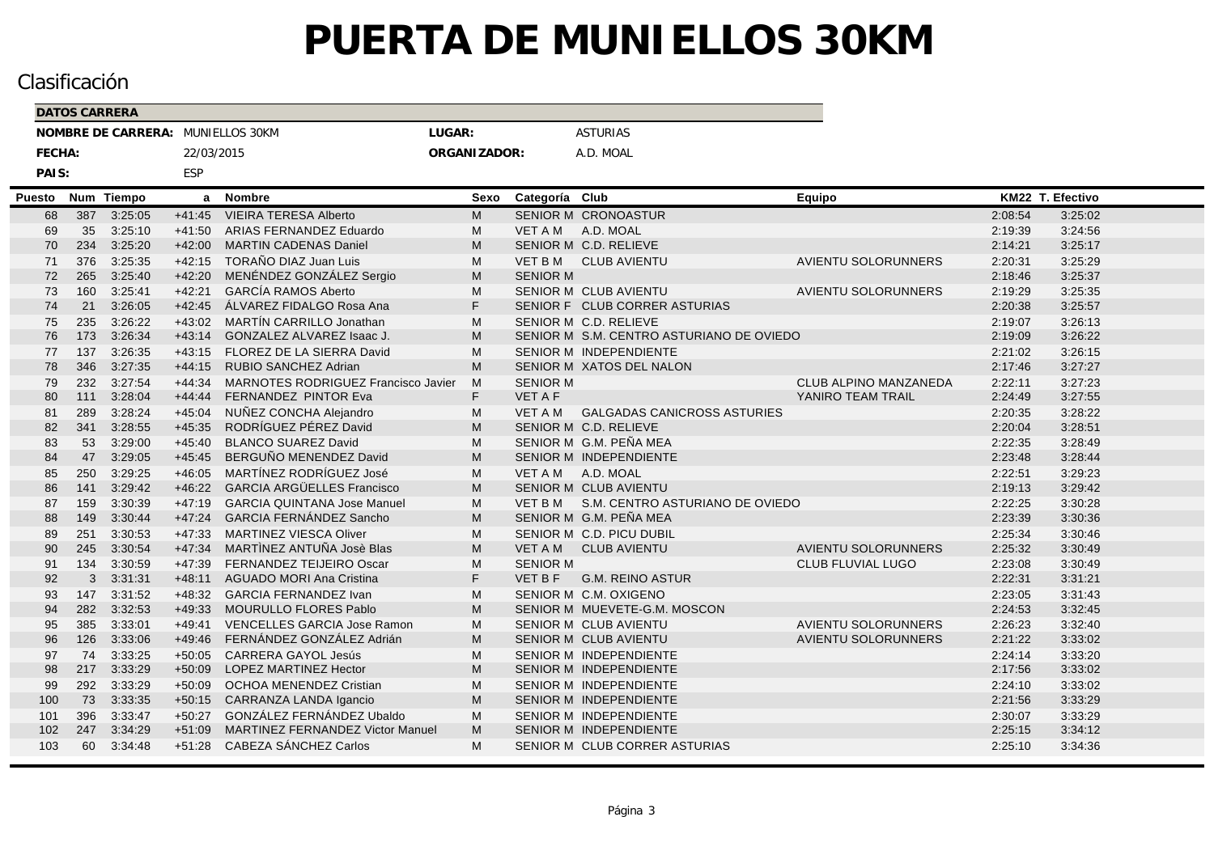|        |          | <b>DATOS CARRERA</b> |                    |                      |                                                         |              |                 |                                          |                              |                    |                    |  |
|--------|----------|----------------------|--------------------|----------------------|---------------------------------------------------------|--------------|-----------------|------------------------------------------|------------------------------|--------------------|--------------------|--|
|        |          |                      | NOMBRE DE CARRERA: |                      | MUNIELLOS 30KM                                          | LUGAR:       |                 | <b>ASTURIAS</b>                          |                              |                    |                    |  |
|        | FECHA:   |                      |                    | 22/03/2015           |                                                         | ORGANIZADOR: |                 | A.D. MOAL                                |                              |                    |                    |  |
|        | PAIS:    |                      |                    | ESP                  |                                                         |              |                 |                                          |                              |                    |                    |  |
|        |          |                      |                    |                      |                                                         |              |                 |                                          |                              |                    |                    |  |
| Puesto |          | 387                  | Num Tiempo         | a<br>$+41:45$        | <b>Nombre</b><br><b>VIEIRA TERESA Alberto</b>           | Sexo<br>M    | Categoría Club  | SENIOR M CRONOASTUR                      | Equipo                       |                    | KM22 T. Efectivo   |  |
|        | 68       |                      | 3:25:05<br>3:25:10 |                      |                                                         |              |                 | A.D. MOAL                                |                              | 2:08:54            | 3:25:02<br>3:24:56 |  |
|        | 69<br>70 | 35<br>234            | 3:25:20            | $+41:50$<br>$+42:00$ | ARIAS FERNANDEZ Eduardo<br><b>MARTIN CADENAS Daniel</b> | M<br>M       | VET A M         | SENIOR M C.D. RELIEVE                    |                              | 2:19:39<br>2:14:21 | 3:25:17            |  |
|        | 71       | 376                  | 3:25:35            | $+42:15$             | TORAÑO DIAZ Juan Luis                                   | M            | VET B M         | <b>CLUB AVIENTU</b>                      | <b>AVIENTU SOLORUNNERS</b>   | 2:20:31            | 3:25:29            |  |
|        | 72       | 265                  | 3:25:40            | $+42:20$             | MENÉNDEZ GONZÁLEZ Sergio                                | M            | <b>SENIOR M</b> |                                          |                              | 2:18:46            | 3:25:37            |  |
|        | 73       | 160                  | 3:25:41            | $+42:21$             | <b>GARCÍA RAMOS Aberto</b>                              | M            |                 | <b>SENIOR M CLUB AVIENTU</b>             | <b>AVIENTU SOLORUNNERS</b>   | 2:19:29            | 3:25:35            |  |
|        | 74       | 21                   | 3:26:05            | $+42:45$             | ÁLVAREZ FIDALGO Rosa Ana                                | F.           |                 | SENIOR F CLUB CORRER ASTURIAS            |                              | 2:20:38            | 3:25:57            |  |
|        | 75       | 235                  | 3:26:22            | $+43:02$             | MARTÍN CARRILLO Jonathan                                | M            |                 | SENIOR M C.D. RELIEVE                    |                              | 2:19:07            | 3:26:13            |  |
|        | 76       | 173                  | 3:26:34            | $+43:14$             | GONZALEZ ALVAREZ Isaac J.                               | M            |                 | SENIOR M S.M. CENTRO ASTURIANO DE OVIEDO |                              | 2:19:09            | 3:26:22            |  |
|        | 77       | 137                  | 3:26:35            | $+43:15$             | FLOREZ DE LA SIERRA David                               | M            |                 | SENIOR M INDEPENDIENTE                   |                              | 2:21:02            | 3:26:15            |  |
|        | 78       | 346                  | 3:27:35            | $+44:15$             | RUBIO SANCHEZ Adrian                                    | M            |                 | SENIOR M XATOS DEL NALON                 |                              | 2:17:46            | 3:27:27            |  |
|        | 79       | 232                  | 3:27:54            | $+44:34$             | MARNOTES RODRIGUEZ Francisco Javier                     | M            | <b>SENIOR M</b> |                                          | <b>CLUB ALPINO MANZANEDA</b> | 2:22:11            | 3:27:23            |  |
|        | 80       | 111                  | 3:28:04            | $+44:44$             | FERNANDEZ PINTOR Eva                                    | F.           | <b>VET A F</b>  |                                          | YANIRO TEAM TRAIL            | 2:24:49            | 3:27:55            |  |
|        | 81       | 289                  | 3:28:24            | $+45:04$             | NUÑEZ CONCHA Alejandro                                  | M            | VET A M         | <b>GALGADAS CANICROSS ASTURIES</b>       |                              | 2:20:35            | 3:28:22            |  |
|        | 82       | 341                  | 3:28:55            | $+45:35$             | RODRÍGUEZ PÉREZ David                                   | M            |                 | SENIOR M C.D. RELIEVE                    |                              | 2:20:04            | 3:28:51            |  |
|        | 83       | 53                   | 3:29:00            | $+45:40$             | <b>BLANCO SUAREZ David</b>                              | M            |                 | SENIOR M G.M. PEÑA MEA                   |                              | 2:22:35            | 3:28:49            |  |
|        | 84       | 47                   | 3:29:05            | $+45:45$             | BERGUÑO MENENDEZ David                                  | M            |                 | SENIOR M INDEPENDIENTE                   |                              | 2:23:48            | 3:28:44            |  |
|        | 85       | 250                  | 3:29:25            | $+46:05$             | MARTÍNEZ RODRÍGUEZ José                                 | M            | <b>VET A M</b>  | A.D. MOAL                                |                              | 2:22:51            | 3:29:23            |  |
|        | 86       | 141                  | 3:29:42            | $+46:22$             | <b>GARCIA ARGÜELLES Francisco</b>                       | M            |                 | SENIOR M CLUB AVIENTU                    |                              | 2:19:13            | 3:29:42            |  |
|        | 87       | 159                  | 3:30:39            | $+47:19$             | <b>GARCIA QUINTANA Jose Manuel</b>                      | M            | <b>VET B M</b>  | S.M. CENTRO ASTURIANO DE OVIEDO          |                              | 2:22:25            | 3:30:28            |  |
|        | 88       | 149                  | 3:30:44            | $+47.24$             | GARCIA FERNÁNDEZ Sancho                                 | M            |                 | SENIOR M G.M. PEÑA MEA                   |                              | 2:23:39            | 3:30:36            |  |
|        | 89       | 251                  | 3:30:53            | $+47:33$             | <b>MARTINEZ VIESCA Oliver</b>                           | M            |                 | SENIOR M C.D. PICU DUBIL                 |                              | 2:25:34            | 3:30:46            |  |
|        | 90       | 245                  | 3:30:54            | $+47:34$             | MARTINEZ ANTUÑA Josè Blas                               | M            | VET A M         | <b>CLUB AVIENTU</b>                      | <b>AVIENTU SOLORUNNERS</b>   | 2:25:32            | 3:30:49            |  |
|        | 91       | 134                  | 3:30:59            | $+47:39$             | FERNANDEZ TEIJEIRO Oscar                                | M            | <b>SENIOR M</b> |                                          | <b>CLUB FLUVIAL LUGO</b>     | 2:23:08            | 3:30:49            |  |
|        | 92       | 3                    | 3:31:31            | $+48:11$             | <b>AGUADO MORI Ana Cristina</b>                         | F.           | <b>VET B F</b>  | <b>G.M. REINO ASTUR</b>                  |                              | 2:22:31            | 3:31:21            |  |
|        | 93       | 147                  | 3:31:52            | $+48:32$             | <b>GARCIA FERNANDEZ Ivan</b>                            | M            |                 | SENIOR M C.M. OXIGENO                    |                              | 2:23:05            | 3:31:43            |  |
|        | 94       | 282                  | 3:32:53            | $+49:33$             | MOURULLO FLORES Pablo                                   | M            |                 | SENIOR M MUEVETE-G.M. MOSCON             |                              | 2:24:53            | 3:32:45            |  |
|        | 95       | 385                  | 3:33:01            | $+49:41$             | VENCELLES GARCIA Jose Ramon                             | M            |                 | SENIOR M CLUB AVIENTU                    | <b>AVIENTU SOLORUNNERS</b>   | 2:26:23            | 3:32:40            |  |
|        | 96       | 126                  | 3:33:06            | $+49:46$             | FERNÁNDEZ GONZÁLEZ Adrián                               | M            |                 | SENIOR M CLUB AVIENTU                    | <b>AVIENTU SOLORUNNERS</b>   | 2:21:22            | 3:33:02            |  |
|        | 97       | 74                   | 3:33:25            | $+50:05$             | <b>CARRERA GAYOL Jesús</b>                              | M            |                 | SENIOR M INDEPENDIENTE                   |                              | 2:24:14            | 3:33:20            |  |
|        | 98       | 217                  | 3:33:29            | $+50:09$             | <b>LOPEZ MARTINEZ Hector</b>                            | M            |                 | SENIOR M INDEPENDIENTE                   |                              | 2:17:56            | 3:33:02            |  |
|        | 99       | 292                  | 3:33:29            | $+50:09$             | OCHOA MENENDEZ Cristian                                 | M            |                 | SENIOR M INDEPENDIENTE                   |                              | 2:24:10            | 3:33:02            |  |
|        | 100      | 73                   | 3:33:35            | $+50:15$             | CARRANZA LANDA Igancio                                  | M            |                 | SENIOR M INDEPENDIENTE                   |                              | 2:21:56            | 3:33:29            |  |
|        | 101      | 396                  | 3:33:47            | $+50:27$             | GONZÁLEZ FERNÁNDEZ Ubaldo                               | M            |                 | SENIOR M INDEPENDIENTE                   |                              | 2:30:07            | 3:33:29            |  |
|        | 102      | 247                  | 3:34:29            | $+51:09$             | <b>MARTINEZ FERNANDEZ Victor Manuel</b>                 | M<br>M       |                 | SENIOR M INDEPENDIENTE                   |                              | 2:25:15            | 3:34:12            |  |
|        | 103      | 60                   | 3:34:48            | $+51:28$             | CABEZA SÁNCHEZ Carlos                                   |              |                 | SENIOR M CLUB CORRER ASTURIAS            |                              | 2:25:10            | 3:34:36            |  |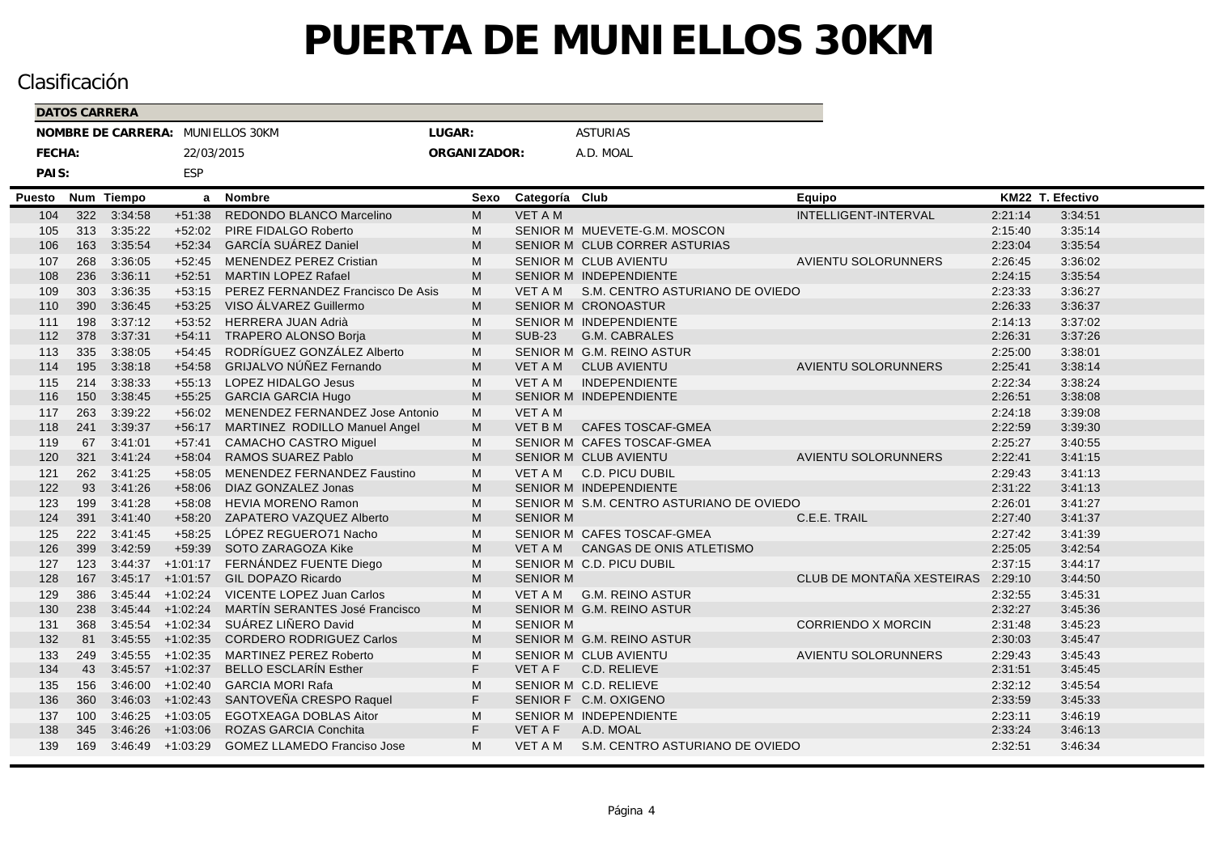|        |        | <b>DATOS CARRERA</b> |                                   |            |                                    |              |                 |                                          |                             |                  |         |  |
|--------|--------|----------------------|-----------------------------------|------------|------------------------------------|--------------|-----------------|------------------------------------------|-----------------------------|------------------|---------|--|
|        |        |                      | NOMBRE DE CARRERA: MUNIELLOS 30KM |            |                                    | LUGAR:       |                 | <b>ASTURIAS</b>                          |                             |                  |         |  |
|        | FECHA: |                      |                                   | 22/03/2015 |                                    | ORGANIZADOR: |                 | A.D. MOAL                                |                             |                  |         |  |
|        | PAIS:  |                      |                                   | ESP        |                                    |              |                 |                                          |                             |                  |         |  |
| Puesto |        | Num                  | <b>Tiempo</b>                     | a          | <b>Nombre</b>                      | Sexo         | Categoría Club  |                                          | Equipo                      | KM22 T. Efectivo |         |  |
|        | 104    | 322                  | 3:34:58                           | $+51:38$   | REDONDO BLANCO Marcelino           | M            | <b>VET A M</b>  |                                          | <b>INTELLIGENT-INTERVAL</b> | 2:21:14          | 3:34:51 |  |
|        | 105    | 313                  | 3:35:22                           | $+52:02$   | PIRE FIDALGO Roberto               | M            |                 | SENIOR M MUEVETE-G.M. MOSCON             |                             | 2:15:40          | 3:35:14 |  |
|        | 106    | 163                  | 3:35:54                           | $+52:34$   | <b>GARCÍA SUÁREZ Daniel</b>        | M            |                 | SENIOR M CLUB CORRER ASTURIAS            |                             | 2:23:04          | 3:35:54 |  |
|        | 107    | 268                  | 3:36:05                           | $+52:45$   | MENENDEZ PEREZ Cristian            | M            |                 | SENIOR M CLUB AVIENTU                    | <b>AVIENTU SOLORUNNERS</b>  | 2:26:45          | 3:36:02 |  |
|        | 108    | 236                  | 3:36:11                           | $+52:51$   | <b>MARTIN LOPEZ Rafael</b>         | M            |                 | SENIOR M INDEPENDIENTE                   |                             | 2:24:15          | 3:35:54 |  |
|        | 109    | 303                  | 3:36:35                           | $+53:15$   | PEREZ FERNANDEZ Francisco De Asis  | M            |                 | VET A M S.M. CENTRO ASTURIANO DE OVIEDO  |                             | 2:23:33          | 3:36:27 |  |
|        | 110    | 390                  | 3:36:45                           | $+53:25$   | VISO ÁLVAREZ Guillermo             | M            |                 | SENIOR M CRONOASTUR                      |                             | 2:26:33          | 3:36:37 |  |
|        | 111    | 198                  | 3:37:12                           | $+53:52$   | <b>HERRERA JUAN Adrià</b>          | M            |                 | <b>SENIOR M INDEPENDIENTE</b>            |                             | 2:14:13          | 3:37:02 |  |
|        | 112    | 378                  | 3:37:31                           | $+54:11$   | <b>TRAPERO ALONSO Borja</b>        | M            | <b>SUB-23</b>   | <b>G.M. CABRALES</b>                     |                             | 2:26:31          | 3:37:26 |  |
|        | 113    | 335                  | 3:38:05                           | $+54:45$   | RODRÍGUEZ GONZÁLEZ Alberto         | M            |                 | SENIOR M G.M. REINO ASTUR                |                             | 2:25:00          | 3:38:01 |  |
|        | 114    | 195                  | 3:38:18                           | $+54:58$   | <b>GRIJALVO NÚÑEZ Fernando</b>     | M            | VET A M         | <b>CLUB AVIENTU</b>                      | <b>AVIENTU SOLORUNNERS</b>  | 2:25:41          | 3:38:14 |  |
|        | 115    | 214                  | 3:38:33                           | $+55:13$   | LOPEZ HIDALGO Jesus                | M            | <b>VET A M</b>  | <b>INDEPENDIENTE</b>                     |                             | 2:22:34          | 3:38:24 |  |
|        | 116    | 150                  | 3:38:45                           | $+55:25$   | <b>GARCIA GARCIA Hugo</b>          | M            |                 | SENIOR M INDEPENDIENTE                   |                             | 2:26:51          | 3:38:08 |  |
|        | 117    | 263                  | 3:39:22                           | $+56:02$   | MENENDEZ FERNANDEZ Jose Antonio    | M            | <b>VET A M</b>  |                                          |                             | 2:24:18          | 3:39:08 |  |
|        | 118    | 241                  | 3:39:37                           | $+56:17$   | MARTINEZ RODILLO Manuel Angel      | M            | <b>VET B M</b>  | <b>CAFES TOSCAF-GMEA</b>                 |                             | 2:22:59          | 3:39:30 |  |
|        | 119    | 67                   | 3:41:01                           | $+57:41$   | <b>CAMACHO CASTRO Miquel</b>       | M            |                 | SENIOR M CAFES TOSCAF-GMEA               |                             | 2:25:27          | 3:40:55 |  |
|        | 120    | 321                  | 3:41:24                           | $+58:04$   | RAMOS SUAREZ Pablo                 | M            |                 | SENIOR M CLUB AVIENTU                    | <b>AVIENTU SOLORUNNERS</b>  | 2:22:41          | 3:41:15 |  |
|        | 121    | 262                  | 3:41:25                           | $+58:05$   | MENENDEZ FERNANDEZ Faustino        | м            | VET A M         | <b>C.D. PICU DUBIL</b>                   |                             | 2:29:43          | 3:41:13 |  |
|        | 122    | 93                   | 3:41:26                           | $+58:06$   | DIAZ GONZALEZ Jonas                | M            |                 | SENIOR M INDEPENDIENTE                   |                             | 2:31:22          | 3:41:13 |  |
|        | 123    | 199                  | 3:41:28                           | $+58:08$   | <b>HEVIA MORENO Ramon</b>          | м            |                 | SENIOR M S.M. CENTRO ASTURIANO DE OVIEDO |                             | 2:26:01          | 3:41:27 |  |
|        | 124    | 391                  | 3:41:40                           | $+58:20$   | ZAPATERO VAZQUEZ Alberto           | M            | <b>SENIOR M</b> |                                          | C.E.E. TRAIL                | 2:27:40          | 3:41:37 |  |
|        | 125    | 222                  | 3:41:45                           | $+58:25$   | LÓPEZ REGUERO71 Nacho              | M            |                 | SENIOR M CAFES TOSCAF-GMEA               |                             | 2:27:42          | 3:41:39 |  |
|        | 126    | 399                  | 3:42:59                           | $+59:39$   | SOTO ZARAGOZA Kike                 | M            | VET A M         | CANGAS DE ONIS ATLETISMO                 |                             | 2:25:05          | 3:42:54 |  |
|        | 127    | 123                  | $3:44:37$ +1:01:17                |            | FERNÁNDEZ FUENTE Diego             | м            |                 | SENIOR M C.D. PICU DUBIL                 |                             | 2:37:15          | 3:44:17 |  |
|        | 128    | 167                  | 3:45:17                           | $+1:01:57$ | <b>GIL DOPAZO Ricardo</b>          | M            | <b>SENIOR M</b> |                                          | CLUB DE MONTAÑA XESTEIRAS   | 2:29:10          | 3:44:50 |  |
|        | 129    | 386                  | $3:45:44$ +1:02:24                |            | VICENTE LOPEZ Juan Carlos          | M            | VET A M         | G.M. REINO ASTUR                         |                             | 2:32:55          | 3:45:31 |  |
|        | 130    | 238                  | $3:45:44$ +1:02:24                |            | MARTÍN SERANTES José Francisco     | M            |                 | SENIOR M G.M. REINO ASTUR                |                             | 2:32:27          | 3:45:36 |  |
|        | 131    | 368                  | $3:45:54$ +1:02:34                |            | SUÁREZ LIÑERO David                | M            | <b>SENIOR M</b> |                                          | <b>CORRIENDO X MORCIN</b>   | 2:31:48          | 3:45:23 |  |
|        | 132    | 81                   | $3:45:55$ +1:02:35                |            | <b>CORDERO RODRIGUEZ Carlos</b>    | M            |                 | SENIOR M G.M. REINO ASTUR                |                             | 2:30:03          | 3:45:47 |  |
|        | 133    | 249                  | $3:45:55$ +1:02:35                |            | <b>MARTINEZ PEREZ Roberto</b>      | M            |                 | SENIOR M CLUB AVIENTU                    | <b>AVIENTU SOLORUNNERS</b>  | 2:29:43          | 3:45:43 |  |
|        | 134    | 43                   | $3:45:57$ +1:02:37                |            | <b>BELLO ESCLARÍN Esther</b>       | F.           | VET A F         | C.D. RELIEVE                             |                             | 2:31:51          | 3:45:45 |  |
|        | 135    | 156                  | $3:46:00 +1:02:40$                |            | <b>GARCIA MORI Rafa</b>            | M            |                 | SENIOR M C.D. RELIEVE                    |                             | 2:32:12          | 3:45:54 |  |
|        | 136    | 360                  | 3:46:03                           | $+1:02:43$ | SANTOVEÑA CRESPO Raquel            | F.           |                 | SENIOR F C.M. OXIGENO                    |                             | 2:33:59          | 3:45:33 |  |
|        | 137    | 100                  | $3:46:25$ +1:03:05                |            | <b>EGOTXEAGA DOBLAS Aitor</b>      | M            |                 | <b>SENIOR M INDEPENDIENTE</b>            |                             | 2:23:11          | 3:46:19 |  |
|        | 138    | 345                  | $3:46:26$ +1:03:06                |            | <b>ROZAS GARCIA Conchita</b>       | F.           | VET A F         | A.D. MOAL                                |                             | 2:33:24          | 3:46:13 |  |
|        | 139    | 169                  | $3:46:49$ $+1:03:29$              |            | <b>GOMEZ LLAMEDO Franciso Jose</b> | M            | VET A M         | S.M. CENTRO ASTURIANO DE OVIEDO          |                             | 2:32:51          | 3:46:34 |  |
|        |        |                      |                                   |            |                                    |              |                 |                                          |                             |                  |         |  |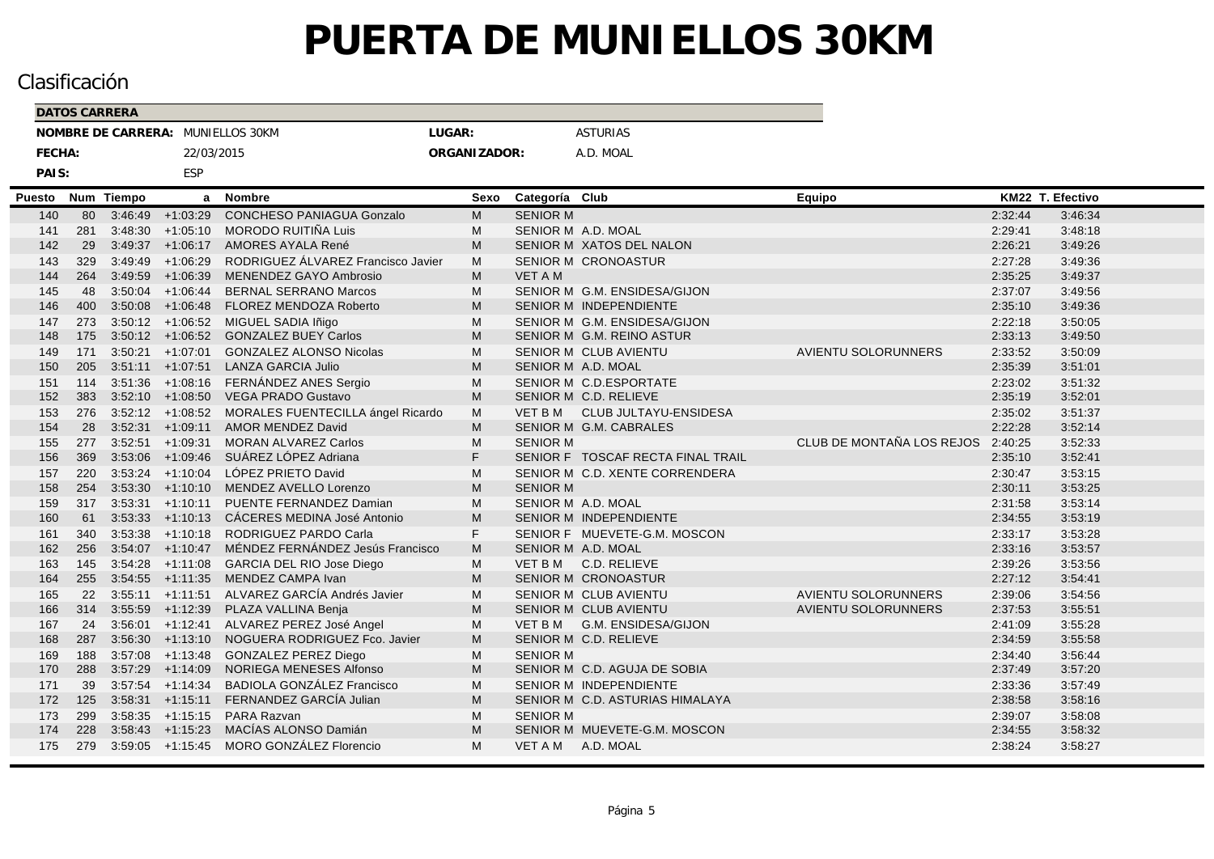|        |        | <b>DATOS CARRERA</b> |               |                     |                                                    |              |                 |                                   |                            |         |                  |  |
|--------|--------|----------------------|---------------|---------------------|----------------------------------------------------|--------------|-----------------|-----------------------------------|----------------------------|---------|------------------|--|
|        |        |                      |               |                     | NOMBRE DE CARRERA: MUNIELLOS 30KM                  | LUGAR:       |                 | <b>ASTURIAS</b>                   |                            |         |                  |  |
|        | FECHA: |                      |               | 22/03/2015          |                                                    | ORGANIZADOR: |                 | A.D. MOAL                         |                            |         |                  |  |
|        | PAIS:  |                      |               | <b>ESP</b>          |                                                    |              |                 |                                   |                            |         |                  |  |
| Puesto |        | Num                  | <b>Tiempo</b> | a                   | <b>Nombre</b>                                      | Sexo         | Categoría Club  |                                   | Equipo                     |         | KM22 T. Efectivo |  |
|        | 140    | 80                   |               | $3:46:49$ +1:03:29  | CONCHESO PANIAGUA Gonzalo                          | M            | <b>SENIOR M</b> |                                   |                            | 2:32:44 | 3:46:34          |  |
|        | 141    | 281                  |               | $3:48:30 +1:05:10$  | MORODO RUITIÑA Luis                                | M            |                 | SENIOR M A.D. MOAL                |                            | 2:29:41 | 3:48:18          |  |
|        | 142    | 29                   | 3:49:37       | $+1:06:17$          | AMORES AYALA René                                  | M            |                 | SENIOR M XATOS DEL NALON          |                            | 2:26:21 | 3:49:26          |  |
|        | 143    | 329                  |               | $3.49.49 + 1.06.29$ | RODRIGUEZ ÁLVAREZ Francisco Javier                 | M            |                 | SENIOR M CRONOASTUR               |                            | 2:27:28 | 3:49:36          |  |
|        | 144    | 264                  |               | $3:49:59$ +1:06:39  | MENENDEZ GAYO Ambrosio                             | M            | <b>VET A M</b>  |                                   |                            | 2:35:25 | 3:49:37          |  |
|        | 145    | 48                   |               | $3:50:04$ +1:06:44  | <b>BERNAL SERRANO Marcos</b>                       | M            |                 | SENIOR M G.M. ENSIDESA/GIJON      |                            | 2:37:07 | 3:49:56          |  |
|        | 146    | 400                  |               |                     | 3:50:08 +1:06:48 FLOREZ MENDOZA Roberto            | M            |                 | SENIOR M INDEPENDIENTE            |                            | 2:35:10 | 3:49:36          |  |
|        | 147    | 273                  |               |                     | 3:50:12 +1:06:52 MIGUEL SADIA Iñigo                | м            |                 | SENIOR M G.M. ENSIDESA/GIJON      |                            | 2:22:18 | 3:50:05          |  |
|        | 148    | 175                  |               |                     | 3:50:12 +1:06:52 GONZALEZ BUEY Carlos              | M            |                 | SENIOR M G.M. REINO ASTUR         |                            | 2:33:13 | 3:49:50          |  |
|        | 149    | 171                  |               | $3:50:21 +1:07:01$  | <b>GONZALEZ ALONSO Nicolas</b>                     | M            |                 | SENIOR M CLUB AVIENTU             | <b>AVIENTU SOLORUNNERS</b> | 2:33:52 | 3:50:09          |  |
|        | 150    | 205                  |               |                     | 3:51:11 +1:07:51 LANZA GARCIA Julio                | M            |                 | SENIOR M A.D. MOAL                |                            | 2:35:39 | 3:51:01          |  |
|        | 151    | 114                  |               |                     | 3:51:36 +1:08:16 FERNÁNDEZ ANES Sergio             | м            |                 | SENIOR M C.D.ESPORTATE            |                            | 2:23:02 | 3:51:32          |  |
|        | 152    | 383                  |               |                     | 3:52:10 +1:08:50 VEGA PRADO Gustavo                | M            |                 | SENIOR M C.D. RELIEVE             |                            | 2:35:19 | 3:52:01          |  |
|        | 153    | 276                  |               |                     | 3:52:12 +1:08:52 MORALES FUENTECILLA ángel Ricardo | M            |                 | VET B M CLUB JULTAYU-ENSIDESA     |                            | 2:35:02 | 3:51:37          |  |
|        | 154    | 28                   |               |                     | 3:52:31 +1:09:11 AMOR MENDEZ David                 | M            |                 | SENIOR M G.M. CABRALES            |                            | 2:22:28 | 3:52:14          |  |
|        | 155    | 277                  |               | $3:52:51$ +1:09:31  | <b>MORAN ALVAREZ Carlos</b>                        | M            | <b>SENIOR M</b> |                                   | CLUB DE MONTAÑA LOS REJOS  | 2:40:25 | 3:52:33          |  |
|        | 156    | 369                  |               | $3:53:06$ +1:09:46  | SUÁREZ LÓPEZ Adriana                               | F.           |                 | SENIOR F TOSCAF RECTA FINAL TRAIL |                            | 2:35:10 | 3:52:41          |  |
|        | 157    | 220                  |               | $3:53:24$ +1:10:04  | LÓPEZ PRIETO David                                 | M            |                 | SENIOR M C.D. XENTE CORRENDERA    |                            | 2:30:47 | 3:53:15          |  |
|        | 158    | 254                  |               |                     | 3:53:30 +1:10:10 MENDEZ AVELLO Lorenzo             | M            | <b>SENIOR M</b> |                                   |                            | 2:30:11 | 3:53:25          |  |
|        | 159    | 317                  |               | $3:53:31 +1:10:11$  | PUENTE FERNANDEZ Damian                            | M            |                 | SENIOR M A.D. MOAL                |                            | 2:31:58 | 3:53:14          |  |
|        | 160    | 61                   |               |                     | 3:53:33 +1:10:13 CÁCERES MEDINA José Antonio       | M            |                 | <b>SENIOR M INDEPENDIENTE</b>     |                            | 2:34:55 | 3:53:19          |  |
|        | 161    | 340                  |               | $3:53:38$ +1:10:18  | RODRIGUEZ PARDO Carla                              | F.           |                 | SENIOR F MUEVETE-G.M. MOSCON      |                            | 2:33:17 | 3:53:28          |  |
|        | 162    | 256                  |               | $3:54:07$ +1:10:47  | MÉNDEZ FERNÁNDEZ Jesús Francisco                   | M            |                 | SENIOR M A.D. MOAL                |                            | 2:33:16 | 3:53:57          |  |
|        | 163    | 145                  |               | $3:54:28$ +1:11:08  | GARCIA DEL RIO Jose Diego                          | M            |                 | VET B M C.D. RELIEVE              |                            | 2:39:26 | 3:53:56          |  |
|        | 164    | 255                  |               | $3:54:55$ +1:11:35  | MENDEZ CAMPA Ivan                                  | M            |                 | SENIOR M CRONOASTUR               |                            | 2:27:12 | 3:54:41          |  |
|        | 165    | 22                   |               | $3:55:11 +1:11:51$  | ALVAREZ GARCÍA Andrés Javier                       | M            |                 | <b>SENIOR M CLUB AVIENTU</b>      | <b>AVIENTU SOLORUNNERS</b> | 2:39:06 | 3:54:56          |  |
|        | 166    | 314                  |               |                     | 3:55:59 +1:12:39 PLAZA VALLINA Benja               | M            |                 | SENIOR M CLUB AVIENTU             | <b>AVIENTU SOLORUNNERS</b> | 2:37:53 | 3:55:51          |  |
|        | 167    | 24                   |               |                     | 3:56:01 +1:12:41 ALVAREZ PEREZ José Angel          | M            |                 | VET B M G.M. ENSIDESA/GIJON       |                            | 2:41:09 | 3:55:28          |  |
|        | 168    | 287                  |               |                     | 3:56:30 +1:13:10 NOGUERA RODRIGUEZ Fco. Javier     | M            |                 | SENIOR M C.D. RELIEVE             |                            | 2:34:59 | 3:55:58          |  |
|        | 169    | 188                  |               | $3:57:08$ +1:13:48  | <b>GONZALEZ PEREZ Diego</b>                        | м            | <b>SENIOR M</b> |                                   |                            | 2:34:40 | 3:56:44          |  |
|        | 170    | 288                  | 3:57:29       | $+1:14:09$          | NORIEGA MENESES Alfonso                            | M            |                 | SENIOR M C.D. AGUJA DE SOBIA      |                            | 2:37:49 | 3:57:20          |  |
|        | 171    | 39                   |               | $3:57:54$ +1:14:34  | BADIOLA GONZÁLEZ Francisco                         | M            |                 | <b>SENIOR M INDEPENDIENTE</b>     |                            | 2:33:36 | 3:57:49          |  |
|        | 172    | 125                  | 3:58:31       | $+1:15:11$          | FERNANDEZ GARCÍA Julian                            | M            |                 | SENIOR M C.D. ASTURIAS HIMALAYA   |                            | 2:38:58 | 3:58:16          |  |
|        | 173    | 299                  |               |                     | 3:58:35 +1:15:15 PARA Razvan                       | M            | <b>SENIOR M</b> |                                   |                            | 2:39:07 | 3:58:08          |  |
|        | 174    | 228                  |               | $3:58.43 +1:15:23$  | MACÍAS ALONSO Damián                               | M            |                 | SENIOR M MUEVETE-G.M. MOSCON      |                            | 2:34:55 | 3:58:32          |  |
|        | 175    | 279                  |               |                     | 3:59:05 +1:15:45 MORO GONZÁLEZ Florencio           | M            |                 | VET A M A.D. MOAL                 |                            | 2:38:24 | 3:58:27          |  |
|        |        |                      |               |                     |                                                    |              |                 |                                   |                            |         |                  |  |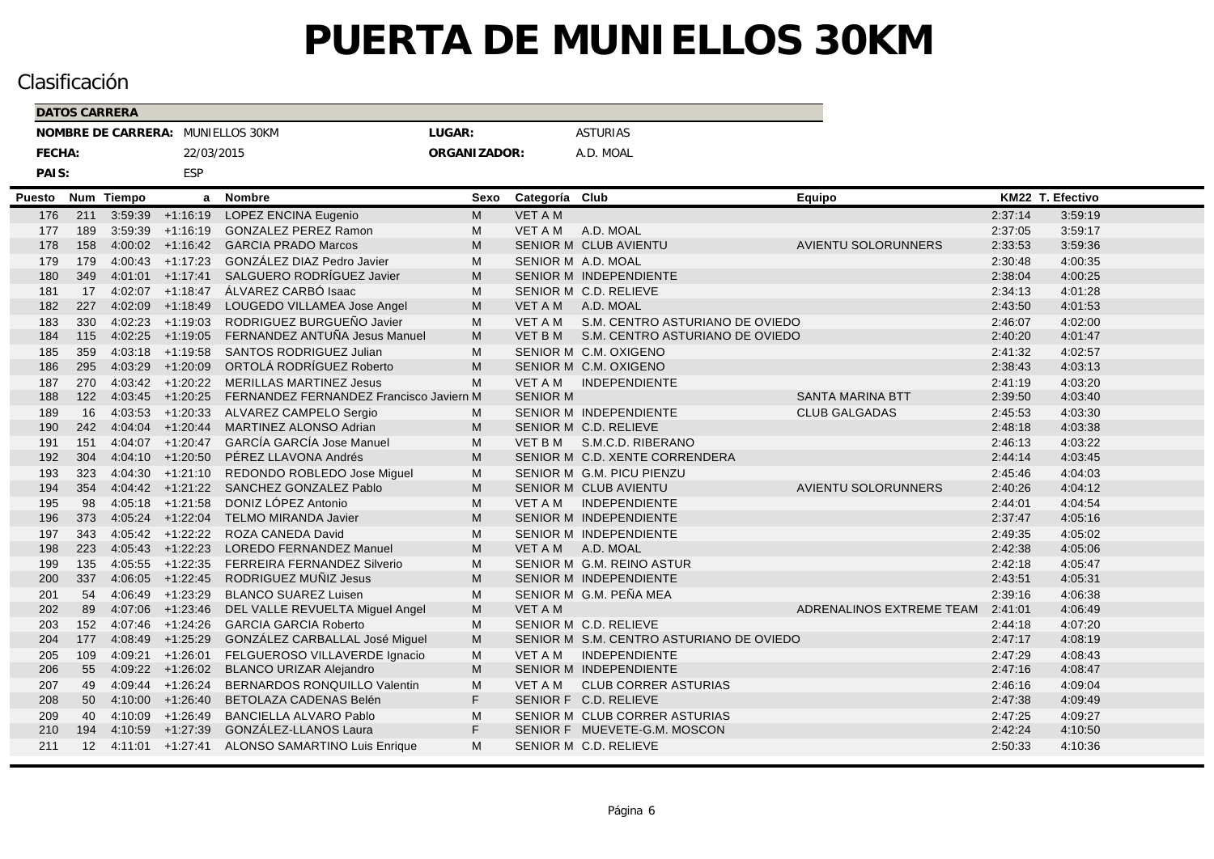|        |        |                   | <b>DATOS CARRERA</b> |                      |                                          |              |                 |                                          |                            |         |                  |  |
|--------|--------|-------------------|----------------------|----------------------|------------------------------------------|--------------|-----------------|------------------------------------------|----------------------------|---------|------------------|--|
|        |        |                   |                      |                      | NOMBRE DE CARRERA: MUNIELLOS 30KM        | LUGAR:       |                 | <b>ASTURIAS</b>                          |                            |         |                  |  |
|        | FECHA: |                   |                      | 22/03/2015           |                                          | ORGANIZADOR: |                 | A.D. MOAL                                |                            |         |                  |  |
|        | PAIS:  |                   |                      | ESP                  |                                          |              |                 |                                          |                            |         |                  |  |
|        |        |                   |                      |                      |                                          |              |                 |                                          |                            |         |                  |  |
| Puesto |        | Num               | <b>Tiempo</b>        | a                    | <b>Nombre</b>                            | Sexo         | Categoría Club  |                                          | Equipo                     |         | KM22 T. Efectivo |  |
|        | 176    | 211               |                      | $3:59:39$ +1:16:19   | LOPEZ ENCINA Eugenio                     | M            | <b>VET A M</b>  |                                          |                            | 2:37:14 | 3:59:19          |  |
|        | 177    | 189               |                      | $3:59:39$ +1:16:19   | <b>GONZALEZ PEREZ Ramon</b>              | M            | VET A M         | A.D. MOAL                                |                            | 2:37:05 | 3:59:17          |  |
|        | 178    | 158               | 4:00:02              | $+1:16:42$           | <b>GARCIA PRADO Marcos</b>               | M            |                 | SENIOR M CLUB AVIENTU                    | <b>AVIENTU SOLORUNNERS</b> | 2:33:53 | 3:59:36          |  |
|        | 179    | 179               |                      | $4:00:43$ $+1:17:23$ | GONZÁLEZ DIAZ Pedro Javier               | M            |                 | SENIOR M A.D. MOAL                       |                            | 2:30:48 | 4:00:35          |  |
|        | 180    | 349               | 4:01:01              | $+1:17:41$           | SALGUERO RODRÍGUEZ Javier                | M            |                 | SENIOR M INDEPENDIENTE                   |                            | 2:38:04 | 4:00:25          |  |
|        | 181    | 17                |                      | $4:02:07$ +1:18:47   | ÁLVAREZ CARBÓ Isaac                      | M            |                 | SENIOR M C.D. RELIEVE                    |                            | 2:34:13 | 4:01:28          |  |
|        | 182    | 227               | 4:02:09              | $+1:18:49$           | LOUGEDO VILLAMEA Jose Angel              | M            | VET A M         | A.D. MOAL                                |                            | 2:43:50 | 4:01:53          |  |
|        | 183    | 330               |                      | $4:02:23$ $+1:19:03$ | RODRIGUEZ BURGUEÑO Javier                | M            | VET A M         | S.M. CENTRO ASTURIANO DE OVIEDO          |                            | 2:46:07 | 4:02:00          |  |
|        | 184    | 115               |                      | $4.02:25$ +1:19:05   | FERNANDEZ ANTUÑA Jesus Manuel            | M            | VET B M         | S.M. CENTRO ASTURIANO DE OVIEDO          |                            | 2:40:20 | 4:01:47          |  |
|        | 185    | 359               |                      | $4:03:18$ $+1:19:58$ | <b>SANTOS RODRIGUEZ Julian</b>           | M            |                 | SENIOR M C.M. OXIGENO                    |                            | 2:41:32 | 4:02:57          |  |
|        | 186    | 295               |                      | 4:03:29 +1:20:09     | ORTOLÁ RODRÍGUEZ Roberto                 | M            |                 | SENIOR M C.M. OXIGENO                    |                            | 2:38:43 | 4:03:13          |  |
|        | 187    | 270               |                      |                      | 4:03:42 +1:20:22 MERILLAS MARTINEZ Jesus | M            | VET A M         | <b>INDEPENDIENTE</b>                     |                            | 2:41:19 | 4:03:20          |  |
|        | 188    | 122               |                      | $4:03:45$ $+1:20:25$ | FERNANDEZ FERNANDEZ Francisco Javiern M  |              | <b>SENIOR M</b> |                                          | <b>SANTA MARINA BTT</b>    | 2:39:50 | 4:03:40          |  |
|        | 189    | 16                |                      | $4:03:53$ $+1:20:33$ | ALVAREZ CAMPELO Sergio                   | M            |                 | SENIOR M INDEPENDIENTE                   | <b>CLUB GALGADAS</b>       | 2:45:53 | 4:03:30          |  |
|        | 190    | 242               |                      | $4:04:04$ $+1:20:44$ | MARTINEZ ALONSO Adrian                   | M            |                 | SENIOR M C.D. RELIEVE                    |                            | 2:48:18 | 4:03:38          |  |
|        | 191    | 151               |                      | $4:04:07$ $+1:20:47$ | <b>GARCÍA GARCÍA Jose Manuel</b>         | M            |                 | VET B M S.M.C.D. RIBERANO                |                            | 2:46:13 | 4:03:22          |  |
|        | 192    | 304               |                      | $4:04:10 +1:20:50$   | PÉREZ LLAVONA Andrés                     | M            |                 | SENIOR M C.D. XENTE CORRENDERA           |                            | 2:44:14 | 4:03:45          |  |
|        | 193    | 323               |                      | $4.04:30 +1:21:10$   | REDONDO ROBLEDO Jose Miguel              | M            |                 | SENIOR M G.M. PICU PIENZU                |                            | 2:45:46 | 4:04:03          |  |
|        | 194    | 354               |                      | $4:04:42 +1:21:22$   | SANCHEZ GONZALEZ Pablo                   | M            |                 | SENIOR M CLUB AVIENTU                    | <b>AVIENTU SOLORUNNERS</b> | 2:40:26 | 4:04:12          |  |
|        | 195    | 98                |                      | $4:05:18$ +1:21:58   | DONIZ LÓPEZ Antonio                      | M            | VET A M         | <b>INDEPENDIENTE</b>                     |                            | 2:44:01 | 4:04:54          |  |
|        | 196    | 373               |                      | $4:05:24$ $+1:22:04$ | <b>TELMO MIRANDA Javier</b>              | M            |                 | SENIOR M INDEPENDIENTE                   |                            | 2:37:47 | 4:05:16          |  |
|        | 197    | 343               |                      | $4:05:42$ +1:22:22   | ROZA CANEDA David                        | M            |                 | SENIOR M INDEPENDIENTE                   |                            | 2:49:35 | 4:05:02          |  |
|        | 198    | 223               |                      | $4:05:43$ $+1:22:23$ | <b>LOREDO FERNANDEZ Manuel</b>           | M            |                 | VET A M A.D. MOAL                        |                            | 2:42:38 | 4:05:06          |  |
|        | 199    | 135               |                      | $4.05:55$ +1:22:35   | FERREIRA FERNANDEZ Silverio              | M            |                 | SENIOR M G.M. REINO ASTUR                |                            | 2:42:18 | 4:05:47          |  |
|        | 200    | 337               |                      | $4:06:05$ $+1:22:45$ | RODRIGUEZ MUÑIZ Jesus                    | M            |                 | <b>SENIOR M INDEPENDIENTE</b>            |                            | 2:43:51 | 4:05:31          |  |
|        | 201    | 54                |                      | $4:06:49$ $+1:23:29$ | <b>BLANCO SUAREZ Luisen</b>              | M            |                 | SENIOR M G.M. PEÑA MEA                   |                            | 2:39:16 | 4:06:38          |  |
|        | 202    | 89                |                      | $4:07:06$ +1:23:46   | DEL VALLE REVUELTA Miguel Angel          | M            | <b>VET A M</b>  |                                          | ADRENALINOS EXTREME TEAM   | 2:41:01 | 4:06:49          |  |
|        | 203    | 152               |                      | $4:07:46$ $+1:24:26$ | <b>GARCIA GARCIA Roberto</b>             | M            |                 | SENIOR M C.D. RELIEVE                    |                            | 2:44:18 | 4:07:20          |  |
|        | 204    | 177               |                      | 4:08:49 +1:25:29     | GONZÁLEZ CARBALLAL José Miguel           | M            |                 | SENIOR M S.M. CENTRO ASTURIANO DE OVIEDO |                            | 2:47:17 | 4:08:19          |  |
|        | 205    | 109               |                      | 4:09:21 +1:26:01     | FELGUEROSO VILLAVERDE Ignacio            | M            | <b>VET A M</b>  | <b>INDEPENDIENTE</b>                     |                            | 2:47:29 | 4:08:43          |  |
|        | 206    | 55                |                      | $4.09:22 +1:26:02$   | <b>BLANCO URIZAR Alejandro</b>           | M            |                 | SENIOR M INDEPENDIENTE                   |                            | 2:47:16 | 4:08:47          |  |
|        | 207    | 49                |                      | $4:09:44$ $+1:26:24$ | BERNARDOS RONQUILLO Valentin             | M            | <b>VET A M</b>  | <b>CLUB CORRER ASTURIAS</b>              |                            | 2:46:16 | 4:09:04          |  |
|        | 208    | 50                |                      | $4:10:00 +1:26:40$   | BETOLAZA CADENAS Belén                   | F.           |                 | SENIOR F C.D. RELIEVE                    |                            | 2:47:38 | 4:09:49          |  |
|        | 209    | 40                | 4:10:09              | $+1:26:49$           | <b>BANCIELLA ALVARO Pablo</b>            | M            |                 | SENIOR M CLUB CORRER ASTURIAS            |                            | 2:47:25 | 4:09:27          |  |
|        | 210    | 194               |                      | $4:10:59$ +1:27:39   | GONZÁLEZ-LLANOS Laura                    | F.           |                 | SENIOR F MUEVETE-G.M. MOSCON             |                            | 2:42:24 | 4:10:50          |  |
|        | 211    | $12 \overline{ }$ |                      | $4:11:01$ $+1:27:41$ | <b>ALONSO SAMARTINO Luis Enrique</b>     | M            |                 | SENIOR M C.D. RELIEVE                    |                            | 2:50:33 | 4:10:36          |  |
|        |        |                   |                      |                      |                                          |              |                 |                                          |                            |         |                  |  |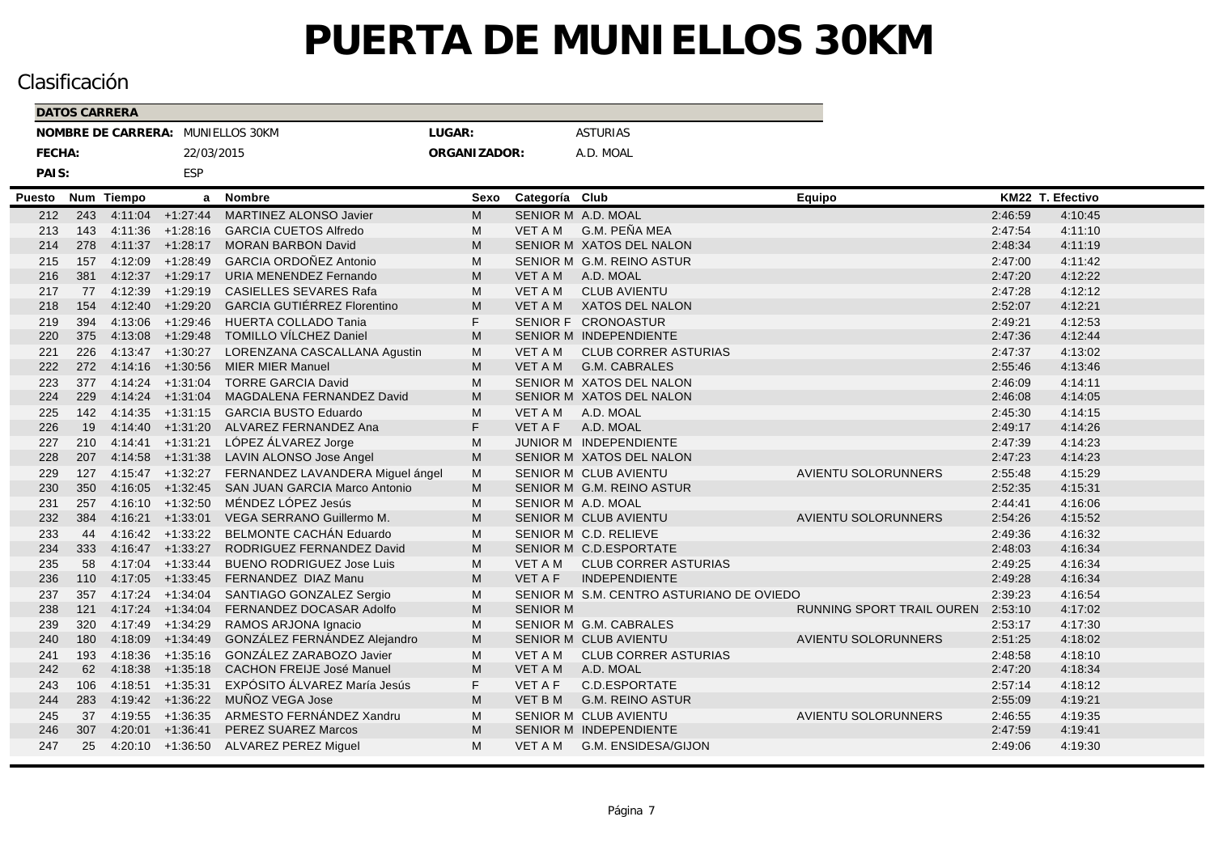|        | <b>DATOS CARRERA</b> |            |                      |                                               |              |                 |                                          |                                   |         |                  |  |
|--------|----------------------|------------|----------------------|-----------------------------------------------|--------------|-----------------|------------------------------------------|-----------------------------------|---------|------------------|--|
|        |                      |            |                      | NOMBRE DE CARRERA: MUNIELLOS 30KM             | LUGAR:       |                 | <b>ASTURIAS</b>                          |                                   |         |                  |  |
| FECHA: |                      |            | 22/03/2015           |                                               | ORGANIZADOR: |                 | A.D. MOAL                                |                                   |         |                  |  |
| PAIS:  |                      |            | ESP                  |                                               |              |                 |                                          |                                   |         |                  |  |
| Puesto |                      | Num Tiempo |                      | a Nombre                                      | Sexo         | Categoría Club  |                                          | Equipo                            |         | KM22 T. Efectivo |  |
| 212    | 243                  |            | $4:11:04$ +1:27:44   | <b>MARTINEZ ALONSO Javier</b>                 | M            |                 | SENIOR M A.D. MOAL                       |                                   | 2:46:59 | 4:10:45          |  |
| 213    | 143                  |            | $4:11:36$ +1:28:16   | <b>GARCIA CUETOS Alfredo</b>                  | M            | <b>VET A M</b>  | G.M. PEÑA MEA                            |                                   | 2:47:54 | 4:11:10          |  |
| 214    | 278                  |            | $4:11:37$ $+1:28:17$ | <b>MORAN BARBON David</b>                     | M            |                 | SENIOR M XATOS DEL NALON                 |                                   | 2:48:34 | 4:11:19          |  |
| 215    | 157                  |            | $4:12:09$ $+1:28:49$ | <b>GARCIA ORDOÑEZ Antonio</b>                 | M            |                 | SENIOR M G.M. REINO ASTUR                |                                   | 2:47:00 | 4:11:42          |  |
| 216    | 381                  | 4:12:37    | $+1:29:17$           | URIA MENENDEZ Fernando                        | M            | VET A M         | A.D. MOAL                                |                                   | 2:47:20 | 4:12:22          |  |
| 217    | 77                   | 4:12:39    | $+1:29:19$           | <b>CASIELLES SEVARES Rafa</b>                 | M            | VET A M         | <b>CLUB AVIENTU</b>                      |                                   | 2:47:28 | 4:12:12          |  |
| 218    | 154                  |            | 4:12:40 +1:29:20     | <b>GARCIA GUTIÉRREZ Florentino</b>            | M            | VET A M         | XATOS DEL NALON                          |                                   | 2:52:07 | 4:12:21          |  |
| 219    | 394                  | 4:13:06    | $+1:29:46$           | <b>HUERTA COLLADO Tania</b>                   | F            |                 | SENIOR F CRONOASTUR                      |                                   | 2:49:21 | 4:12:53          |  |
| 220    | 375                  | 4:13:08    |                      | +1:29:48 TOMILLO VÍLCHEZ Daniel               | M            |                 | SENIOR M INDEPENDIENTE                   |                                   | 2:47:36 | 4:12:44          |  |
| 221    | 226                  |            |                      | 4:13:47 +1:30:27 LORENZANA CASCALLANA Agustin | M            | <b>VET A M</b>  | <b>CLUB CORRER ASTURIAS</b>              |                                   | 2:47:37 | 4:13:02          |  |
| 222    | 272                  | 4:14:16    | $+1:30:56$           | <b>MIER MIER Manuel</b>                       | M            | VET A M         | G.M. CABRALES                            |                                   | 2:55:46 | 4:13:46          |  |
| 223    | 377                  |            |                      | 4:14:24 +1:31:04 TORRE GARCIA David           | M            |                 | SENIOR M XATOS DEL NALON                 |                                   | 2:46:09 | 4:14:11          |  |
| 224    | 229                  |            | $4:14:24$ $+1:31:04$ | MAGDALENA FERNANDEZ David                     | M            |                 | SENIOR M XATOS DEL NALON                 |                                   | 2:46:08 | 4:14:05          |  |
| 225    | 142                  |            |                      | 4:14:35 +1:31:15 GARCIA BUSTO Eduardo         | M            | VET A M         | A.D. MOAL                                |                                   | 2:45:30 | 4:14:15          |  |
| 226    | 19                   |            |                      | 4:14:40 +1:31:20 ALVAREZ FERNANDEZ Ana        | F            | <b>VET A F</b>  | A.D. MOAL                                |                                   | 2:49:17 | 4:14:26          |  |
| 227    | 210                  |            | $4:14:41 +1:31:21$   | LÓPEZ ÁLVAREZ Jorge                           | M            |                 | JUNIOR M INDEPENDIENTE                   |                                   | 2:47:39 | 4:14:23          |  |
| 228    | 207                  |            |                      | 4:14:58 +1:31:38 LAVIN ALONSO Jose Angel      | M            |                 | SENIOR M XATOS DEL NALON                 |                                   | 2:47:23 | 4:14:23          |  |
| 229    | 127                  |            | $4:15:47$ $+1:32:27$ | FERNANDEZ LAVANDERA Miguel ángel              | M            |                 | <b>SENIOR M CLUB AVIENTU</b>             | <b>AVIENTU SOLORUNNERS</b>        | 2:55:48 | 4:15:29          |  |
| 230    | 350                  | 4:16:05    |                      | +1:32:45 SAN JUAN GARCIA Marco Antonio        | M            |                 | SENIOR M G.M. REINO ASTUR                |                                   | 2:52:35 | 4:15:31          |  |
| 231    | 257                  |            | $4:16:10 +1:32:50$   | MÉNDEZ LÓPEZ Jesús                            | M            |                 | SENIOR M A.D. MOAL                       |                                   | 2:44:41 | 4:16:06          |  |
| 232    | 384                  |            | $4:16:21 +1:33:01$   | VEGA SERRANO Guillermo M.                     | M            |                 | SENIOR M CLUB AVIENTU                    | <b>AVIENTU SOLORUNNERS</b>        | 2:54:26 | 4:15:52          |  |
| 233    | 44                   |            |                      | 4:16:42 +1:33:22 BELMONTE CACHÁN Eduardo      | M            |                 | SENIOR M C.D. RELIEVE                    |                                   | 2:49:36 | 4:16:32          |  |
| 234    | 333                  |            | $4:16:47$ $+1:33:27$ | RODRIGUEZ FERNANDEZ David                     | M            |                 | SENIOR M C.D.ESPORTATE                   |                                   | 2:48:03 | 4:16:34          |  |
| 235    | 58                   |            | $4:17:04$ +1:33:44   | <b>BUENO RODRIGUEZ Jose Luis</b>              | M            | VET A M         | <b>CLUB CORRER ASTURIAS</b>              |                                   | 2:49:25 | 4:16:34          |  |
| 236    | 110                  | 4:17:05    | $+1:33:45$           | FERNANDEZ DIAZ Manu                           | M            | <b>VET A F</b>  | <b>INDEPENDIENTE</b>                     |                                   | 2:49:28 | 4:16:34          |  |
| 237    | 357                  |            | $4:17:24$ $+1:34:04$ | SANTIAGO GONZALEZ Sergio                      | M            |                 | SENIOR M S.M. CENTRO ASTURIANO DE OVIEDO |                                   | 2:39:23 | 4:16:54          |  |
| 238    | 121                  |            | $4:17:24$ +1:34:04   | FERNANDEZ DOCASAR Adolfo                      | M            | <b>SENIOR M</b> |                                          | RUNNING SPORT TRAIL OUREN 2:53:10 |         | 4:17:02          |  |
| 239    | 320                  |            | $4:17:49$ +1:34:29   | RAMOS ARJONA Ignacio                          | M            |                 | SENIOR M G.M. CABRALES                   |                                   | 2:53:17 | 4:17:30          |  |
| 240    | 180                  | 4:18:09    | $+1:34:49$           | GONZÁLEZ FERNÁNDEZ Alejandro                  | M            |                 | SENIOR M CLUB AVIENTU                    | AVIENTU SOLORUNNERS               | 2:51:25 | 4:18:02          |  |
| 241    | 193                  | 4:18:36    | $+1:35:16$           | GONZÁLEZ ZARABOZO Javier                      | M            | VET A M         | <b>CLUB CORRER ASTURIAS</b>              |                                   | 2:48:58 | 4:18:10          |  |
| 242    | 62                   | 4:18:38    | $+1:35:18$           | <b>CACHON FREIJE José Manuel</b>              | M            | VET A M         | A.D. MOAL                                |                                   | 2:47:20 | 4:18:34          |  |
| 243    | 106                  | 4:18:51    | $+1:35:31$           | EXPÓSITO ÁLVAREZ María Jesús                  | F            | <b>VET A F</b>  | C.D.ESPORTATE                            |                                   | 2:57:14 | 4:18:12          |  |
| 244    | 283                  | 4:19:42    | $+1:36:22$           | MUÑOZ VEGA Jose                               | M            | <b>VET BM</b>   | <b>G.M. REINO ASTUR</b>                  |                                   | 2:55:09 | 4:19:21          |  |
| 245    | 37                   |            |                      | 4:19:55 +1:36:35 ARMESTO FERNÁNDEZ Xandru     | M            |                 | SENIOR M CLUB AVIENTU                    | <b>AVIENTU SOLORUNNERS</b>        | 2:46.55 | 4:19:35          |  |
| 246    | 307                  | 4:20:01    | $+1:36:41$           | <b>PEREZ SUAREZ Marcos</b>                    | M            |                 | SENIOR M INDEPENDIENTE                   |                                   | 2:47:59 | 4:19:41          |  |
| 247    | 25                   |            |                      | 4:20:10 +1:36:50 ALVAREZ PEREZ Miguel         | M            | VET A M         | G.M. ENSIDESA/GIJON                      |                                   | 2:49:06 | 4:19:30          |  |
|        |                      |            |                      |                                               |              |                 |                                          |                                   |         |                  |  |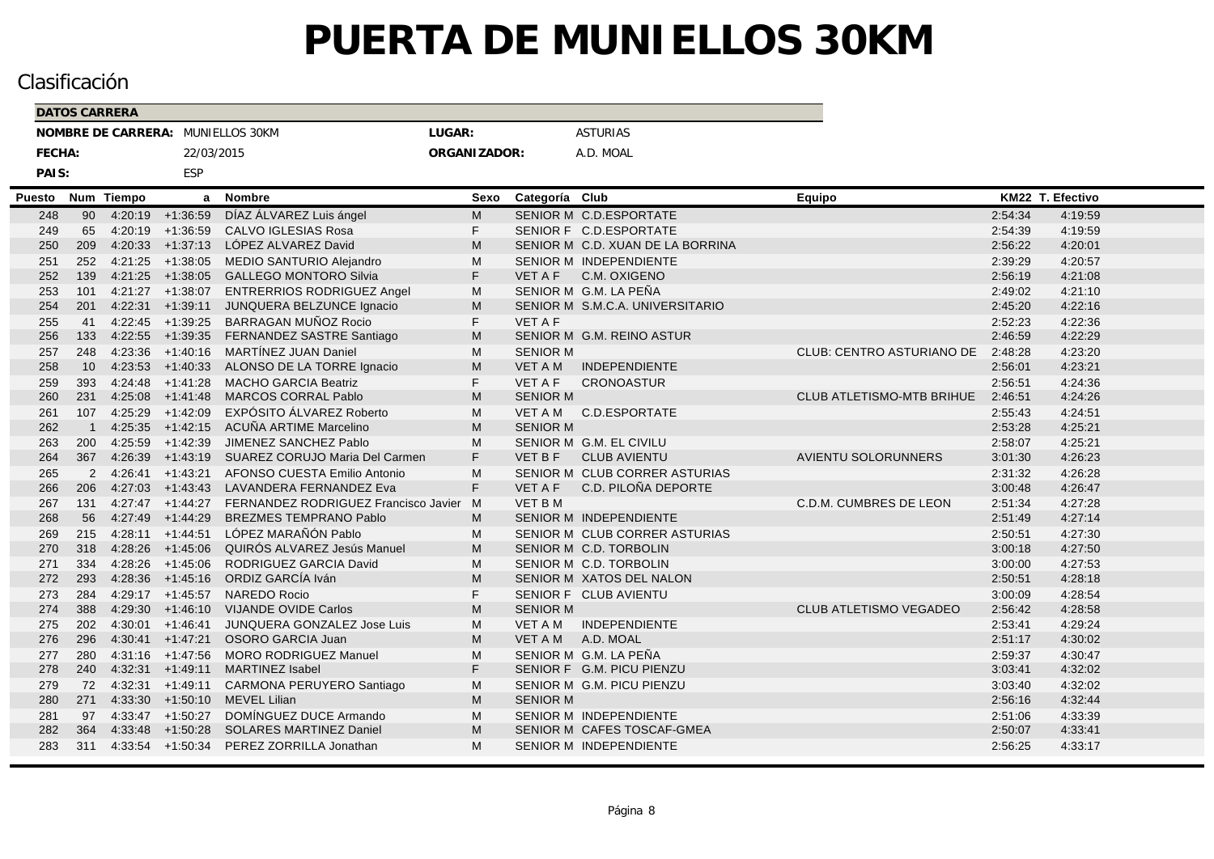| <b>DATOS CARRERA</b> |                |               |                      |                                             |              |                 |                                  |                            |         |                  |  |
|----------------------|----------------|---------------|----------------------|---------------------------------------------|--------------|-----------------|----------------------------------|----------------------------|---------|------------------|--|
|                      |                |               |                      | NOMBRE DE CARRERA: MUNIELLOS 30KM           | LUGAR:       |                 | <b>ASTURIAS</b>                  |                            |         |                  |  |
| FECHA:               |                |               | 22/03/2015           |                                             | ORGANIZADOR: |                 | A.D. MOAL                        |                            |         |                  |  |
| PAIS:                |                |               | <b>ESP</b>           |                                             |              |                 |                                  |                            |         |                  |  |
| Puesto               | Num            | <b>Tiempo</b> | a                    | <b>Nombre</b>                               | Sexo         | Categoría Club  |                                  | <b>Equipo</b>              |         | KM22 T. Efectivo |  |
| 248                  | 90             |               | 4:20:19 +1:36:59     | DÍAZ ÁLVAREZ Luis ángel                     | M            |                 | SENIOR M C.D.ESPORTATE           |                            | 2:54:34 | 4:19:59          |  |
| 249                  | 65             |               | $4:20:19$ $+1:36:59$ | <b>CALVO IGLESIAS Rosa</b>                  | F.           |                 | SENIOR F C.D.ESPORTATE           |                            | 2:54:39 | 4:19:59          |  |
| 250                  | 209            | 4:20:33       | $+1:37:13$           | LÓPEZ ALVAREZ David                         | M            |                 | SENIOR M C.D. XUAN DE LA BORRINA |                            | 2:56:22 | 4:20:01          |  |
| 251                  | 252            |               | $4:21:25$ +1:38:05   | MEDIO SANTURIO Alejandro                    | M            |                 | SENIOR M INDEPENDIENTE           |                            | 2:39:29 | 4:20:57          |  |
| 252                  | 139            |               | $4:21:25$ +1:38:05   | <b>GALLEGO MONTORO Silvia</b>               | F.           | VET A F         | C.M. OXIGENO                     |                            | 2:56:19 | 4:21:08          |  |
| 253                  | 101            |               |                      | 4:21:27 +1:38:07 ENTRERRIOS RODRIGUEZ Angel | M            |                 | SENIOR M G.M. LA PEÑA            |                            | 2:49:02 | 4:21:10          |  |
| 254                  | 201            |               | $4:22:31 +1:39:11$   | JUNQUERA BELZUNCE Ignacio                   | M            |                 | SENIOR M S.M.C.A. UNIVERSITARIO  |                            | 2:45:20 | 4:22:16          |  |
| 255                  | 41             |               | $4:22:45$ $+1:39:25$ | BARRAGAN MUÑOZ Rocio                        | F.           | <b>VET A F</b>  |                                  |                            | 2:52:23 | 4:22:36          |  |
| 256                  | 133            |               | $4:22:55$ +1:39:35   | FERNANDEZ SASTRE Santiago                   | M            |                 | SENIOR M G.M. REINO ASTUR        |                            | 2:46:59 | 4:22:29          |  |
| 257                  | 248            |               | $4:23:36$ $+1:40:16$ | MARTÍNEZ JUAN Daniel                        | M            | <b>SENIOR M</b> |                                  | CLUB: CENTRO ASTURIANO DE  | 2:48:28 | 4:23:20          |  |
| 258                  | 10             |               | $4:23:53$ $+1:40:33$ | ALONSO DE LA TORRE Ignacio                  | M            | VET A M         | <b>INDEPENDIENTE</b>             |                            | 2.56.01 | 4:23:21          |  |
| 259                  | 393            |               | $4:24:48$ $+1:41:28$ | <b>MACHO GARCIA Beatriz</b>                 | F.           | <b>VET A F</b>  | <b>CRONOASTUR</b>                |                            | 2:56:51 | 4:24:36          |  |
| 260                  | 231            |               | $4:25:08$ +1:41:48   | MARCOS CORRAL Pablo                         | M            | <b>SENIOR M</b> |                                  | CLUB ATLETISMO-MTB BRIHUE  | 2:46:51 | 4:24:26          |  |
| 261                  | 107            |               | $4:25:29$ $+1:42:09$ | EXPÓSITO ÁLVAREZ Roberto                    | M            |                 | VET A M C.D.ESPORTATE            |                            | 2:55:43 | 4:24:51          |  |
| 262                  | $\overline{1}$ |               | $4:25:35$ $+1:42:15$ | ACUÑA ARTIME Marcelino                      | M            | <b>SENIOR M</b> |                                  |                            | 2:53:28 | 4:25:21          |  |
| 263                  | 200            |               | $4:25:59$ $+1:42:39$ | JIMENEZ SANCHEZ Pablo                       | M            |                 | SENIOR M G.M. EL CIVILU          |                            | 2:58:07 | 4:25:21          |  |
| 264                  | 367            | 4:26:39       | $+1.43:19$           | SUAREZ CORUJO Maria Del Carmen              | F            | VET B F         | <b>CLUB AVIENTU</b>              | <b>AVIENTU SOLORUNNERS</b> | 3:01:30 | 4:26:23          |  |
| 265                  | 2              |               | $4:26:41$ $+1:43:21$ | AFONSO CUESTA Emilio Antonio                | M            |                 | SENIOR M CLUB CORRER ASTURIAS    |                            | 2:31:32 | 4:26:28          |  |
| 266                  | 206            | 4:27:03       | $+1:43:43$           | LAVANDERA FERNANDEZ Eva                     | F.           | <b>VET A F</b>  | C.D. PILOÑA DEPORTE              |                            | 3:00:48 | 4:26:47          |  |
| 267                  | 131            |               | $4:27:47$ $+1:44:27$ | FERNANDEZ RODRIGUEZ Francisco Javier        | M            | <b>VET BM</b>   |                                  | C.D.M. CUMBRES DE LEON     | 2:51:34 | 4:27:28          |  |
| 268                  | 56             |               | $4:27:49$ +1:44:29   | <b>BREZMES TEMPRANO Pablo</b>               | M            |                 | <b>SENIOR M INDEPENDIENTE</b>    |                            | 2:51:49 | 4:27:14          |  |
| 269                  | 215            |               | $4:28:11 +1:44:51$   | LÓPEZ MARAÑÓN Pablo                         | M            |                 | SENIOR M CLUB CORRER ASTURIAS    |                            | 2:50:51 | 4:27:30          |  |
| 270                  | 318            |               | $4:28:26$ +1:45:06   | QUIRÓS ALVAREZ Jesús Manuel                 | M            |                 | SENIOR M C.D. TORBOLIN           |                            | 3:00:18 | 4:27:50          |  |
| 271                  | 334            |               | $4:28:26$ $+1:45:06$ | RODRIGUEZ GARCIA David                      | M            |                 | SENIOR M C.D. TORBOLIN           |                            | 3:00:00 | 4:27:53          |  |
| 272                  | 293            |               | $4:28:36$ +1:45:16   | ORDIZ GARCÍA Iván                           | M            |                 | SENIOR M XATOS DEL NALON         |                            | 2:50:51 | 4:28:18          |  |
| 273                  | 284            |               | $4:29:17$ +1:45:57   | <b>NAREDO Rocio</b>                         | F.           |                 | SENIOR F CLUB AVIENTU            |                            | 3:00:09 | 4:28:54          |  |
| 274                  | 388            |               | $4:29:30 +1:46:10$   | <b>VIJANDE OVIDE Carlos</b>                 | M            | <b>SENIOR M</b> |                                  | CLUB ATLETISMO VEGADEO     | 2:56:42 | 4:28:58          |  |
| 275                  | 202            |               | $4:30:01$ +1:46:41   | JUNQUERA GONZALEZ Jose Luis                 | М            | VET A M         | INDEPENDIENTE                    |                            | 2:53:41 | 4:29:24          |  |
| 276                  | 296            |               | $4:30:41 +1:47:21$   | OSORO GARCIA Juan                           | M            | <b>VET A M</b>  | A.D. MOAL                        |                            | 2:51:17 | 4:30:02          |  |
| 277                  | 280            |               | $4:31:16$ +1:47:56   | <b>MORO RODRIGUEZ Manuel</b>                | M            |                 | SENIOR M G.M. LA PEÑA            |                            | 2:59:37 | 4:30:47          |  |
| 278                  | 240            |               | $4:32:31 +1:49:11$   | <b>MARTINEZ Isabel</b>                      | F.           |                 | SENIOR F G.M. PICU PIENZU        |                            | 3:03:41 | 4:32:02          |  |
| 279                  | 72             |               | $4:32:31$ $+1:49:11$ | CARMONA PERUYERO Santiago                   | M            |                 | SENIOR M G.M. PICU PIENZU        |                            | 3:03:40 | 4:32:02          |  |
| 280                  | 271            | 4:33:30       | $+1:50:10$           | MEVEL Lilian                                | M            | <b>SENIOR M</b> |                                  |                            | 2:56:16 | 4:32:44          |  |
| 281                  | 97             |               | $4:33:47$ $+1:50:27$ | DOMÍNGUEZ DUCE Armando                      | M            |                 | SENIOR M INDEPENDIENTE           |                            | 2:51:06 | 4:33:39          |  |
| 282                  | 364            | 4:33:48       | $+1:50:28$           | <b>SOLARES MARTINEZ Daniel</b>              | M            |                 | SENIOR M CAFES TOSCAF-GMEA       |                            | 2:50:07 | 4:33:41          |  |
| 283                  | 311            |               |                      | 4:33:54 +1:50:34 PEREZ ZORRILLA Jonathan    | M            |                 | SENIOR M INDEPENDIENTE           |                            | 2:56:25 | 4:33:17          |  |
|                      |                |               |                      |                                             |              |                 |                                  |                            |         |                  |  |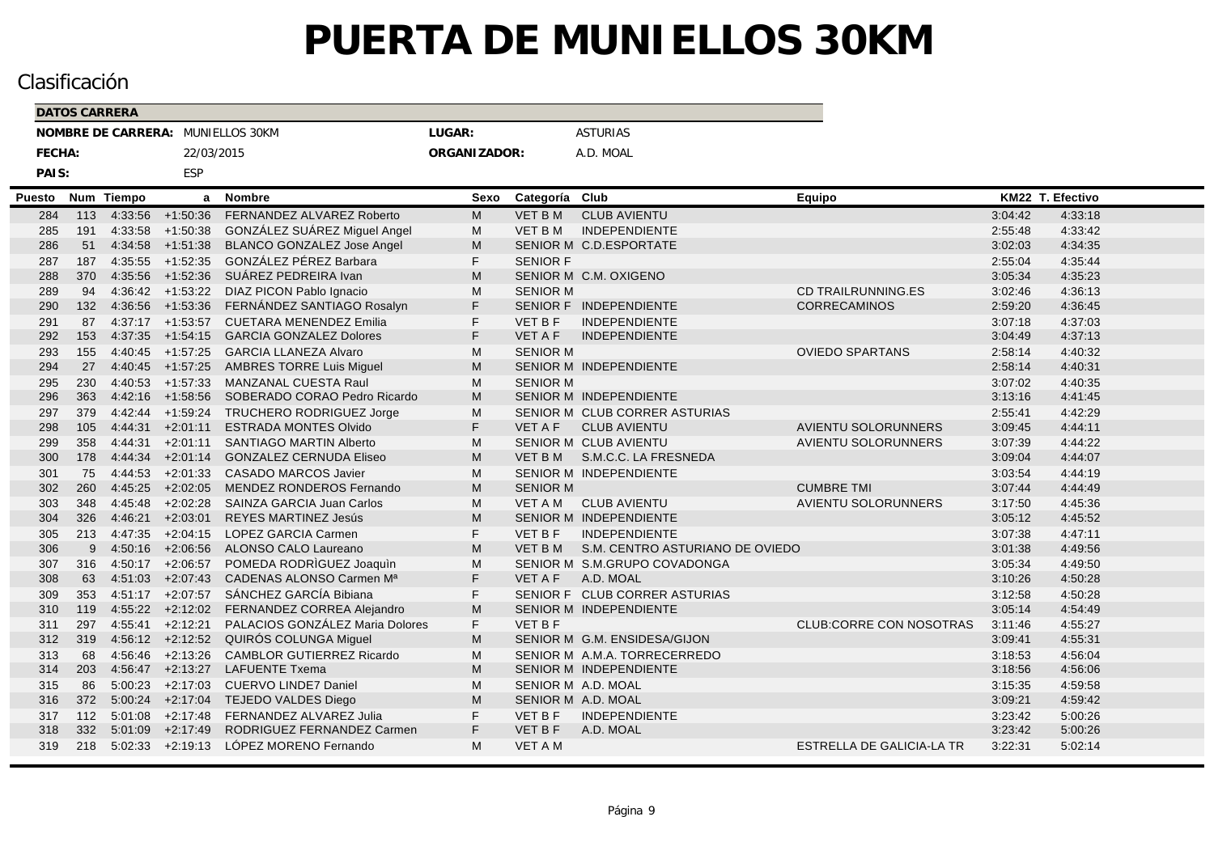|        | <b>DATOS CARRERA</b> |               |                      |                                             |              |                 |                                 |                            |                  |         |
|--------|----------------------|---------------|----------------------|---------------------------------------------|--------------|-----------------|---------------------------------|----------------------------|------------------|---------|
|        |                      |               |                      | NOMBRE DE CARRERA: MUNIELLOS 30KM           | LUGAR:       |                 | <b>ASTURIAS</b>                 |                            |                  |         |
| FECHA: |                      |               | 22/03/2015           |                                             | ORGANIZADOR: |                 | A.D. MOAL                       |                            |                  |         |
| PAIS:  |                      |               | ESP                  |                                             |              |                 |                                 |                            |                  |         |
| Puesto | Num                  | <b>Tiempo</b> | a                    | <b>Nombre</b>                               | Sexo         | Categoría       | Club                            | Equipo                     | KM22 T. Efectivo |         |
| 284    | 113                  |               | $4:33:56$ +1:50:36   | FERNANDEZ ALVAREZ Roberto                   | M            | <b>VET BM</b>   | <b>CLUB AVIENTU</b>             |                            | 3:04:42          | 4:33:18 |
| 285    | 191                  |               | 4:33:58 +1:50:38     | GONZÁLEZ SUÁREZ Miguel Angel                | м            | <b>VET B M</b>  | <b>INDEPENDIENTE</b>            |                            | 2:55:48          | 4:33:42 |
| 286    | 51                   |               | $4:34:58$ +1:51:38   | <b>BLANCO GONZALEZ Jose Angel</b>           | M            |                 | SENIOR M C.D.ESPORTATE          |                            | 3:02:03          | 4:34:35 |
| 287    | 187                  |               | $4:35:55$ $+1:52:35$ | GONZÁLEZ PÉREZ Barbara                      | F.           | <b>SENIOR F</b> |                                 |                            | 2:55:04          | 4:35:44 |
| 288    | 370                  |               | 4:35:56 +1:52:36     | SUÁREZ PEDREIRA Ivan                        | M            |                 | SENIOR M C.M. OXIGENO           |                            | 3:05:34          | 4:35:23 |
| 289    | 94                   |               |                      | 4:36:42 +1:53:22 DIAZ PICON Pablo Ignacio   | M            | <b>SENIOR M</b> |                                 | CD TRAILRUNNING.ES         | 3:02:46          | 4:36:13 |
| 290    | 132                  | 4:36:56       | $+1:53:36$           | FERNÁNDEZ SANTIAGO Rosalyn                  | F.           |                 | SENIOR F INDEPENDIENTE          | CORRECAMINOS               | 2:59:20          | 4:36:45 |
| 291    | 87                   |               | $4:37:17$ $+1:53:57$ | <b>CUETARA MENENDEZ Emilia</b>              | F.           | <b>VET BF</b>   | <b>INDEPENDIENTE</b>            |                            | 3:07:18          | 4:37:03 |
| 292    | 153                  |               | $4:37:35$ $+1:54:15$ | <b>GARCIA GONZALEZ Dolores</b>              | F.           | <b>VET A F</b>  | <b>INDEPENDIENTE</b>            |                            | 3:04:49          | 4:37:13 |
| 293    | 155                  |               | $4:40:45$ $+1:57:25$ | <b>GARCIA LLANEZA Alvaro</b>                | M            | <b>SENIOR M</b> |                                 | <b>OVIEDO SPARTANS</b>     | 2:58:14          | 4:40:32 |
| 294    | 27                   | 4:40:45       | $+1:57:25$           | <b>AMBRES TORRE Luis Miguel</b>             | M            |                 | SENIOR M INDEPENDIENTE          |                            | 2:58:14          | 4:40:31 |
| 295    | 230                  |               | $4:40:53$ $+1:57:33$ | MANZANAL CUESTA Raul                        | M            | <b>SENIOR M</b> |                                 |                            | 3:07:02          | 4:40:35 |
| 296    | 363                  |               | $4:42:16$ +1:58:56   | SOBERADO CORAO Pedro Ricardo                | M            |                 | SENIOR M INDEPENDIENTE          |                            | 3:13:16          | 4:41:45 |
| 297    | 379                  |               | $4:42:44$ $+1:59:24$ | TRUCHERO RODRIGUEZ Jorge                    | M            |                 | SENIOR M CLUB CORRER ASTURIAS   |                            | 2:55:41          | 4:42:29 |
| 298    | 105                  | 4:44:31       | $+2:01:11$           | <b>ESTRADA MONTES Olvido</b>                | F.           | <b>VET A F</b>  | <b>CLUB AVIENTU</b>             | <b>AVIENTU SOLORUNNERS</b> | 3:09:45          | 4:44:11 |
| 299    | 358                  | 4:44:31       | $+2:01:11$           | <b>SANTIAGO MARTIN Alberto</b>              | M            |                 | <b>SENIOR M CLUB AVIENTU</b>    | AVIENTU SOLORUNNERS        | 3:07:39          | 4:44:22 |
| 300    | 178                  | 4:44:34       | $+2:01:14$           | <b>GONZALEZ CERNUDA Eliseo</b>              | M            |                 | VET B M S.M.C.C. LA FRESNEDA    |                            | 3:09:04          | 4:44:07 |
| 301    | 75                   | 4:44:53       | $+2:01:33$           | <b>CASADO MARCOS Javier</b>                 | M            |                 | SENIOR M INDEPENDIENTE          |                            | 3:03:54          | 4:44:19 |
| 302    | 260                  | 4:45:25       | $+2:02:05$           | MENDEZ RONDEROS Fernando                    | M            | <b>SENIOR M</b> |                                 | <b>CUMBRE TMI</b>          | 3:07:44          | 4:44:49 |
| 303    | 348                  |               | $4:45:48$ +2:02:28   | SAINZA GARCIA Juan Carlos                   | M            | VET A M         | <b>CLUB AVIENTU</b>             | AVIENTU SOLORUNNERS        | 3:17:50          | 4:45:36 |
| 304    | 326                  | 4:46:21       | $+2:03:01$           | REYES MARTINEZ Jesús                        | M            |                 | SENIOR M INDEPENDIENTE          |                            | 3:05:12          | 4:45:52 |
| 305    | 213                  |               | $4:47:35$ $+2:04:15$ | <b>LOPEZ GARCIA Carmen</b>                  | F.           | <b>VET B F</b>  | <b>INDEPENDIENTE</b>            |                            | 3:07:38          | 4:47:11 |
| 306    | 9                    | 4:50:16       | $+2:06:56$           | ALONSO CALO Laureano                        | M            | VET B M         | S.M. CENTRO ASTURIANO DE OVIEDO |                            | 3:01:38          | 4:49:56 |
| 307    | 316                  |               | $4:50:17 +2:06:57$   | POMEDA RODRIGUEZ Joaquin                    | M            |                 | SENIOR M S.M.GRUPO COVADONGA    |                            | 3:05:34          | 4:49:50 |
| 308    | 63                   | 4:51:03       | $+2:07:43$           | CADENAS ALONSO Carmen Ma                    | F.           | VET A F         | A.D. MOAL                       |                            | 3:10:26          | 4:50:28 |
| 309    | 353                  |               | $4:51:17 +2:07:57$   | SÁNCHEZ GARCÍA Bibiana                      | F.           |                 | SENIOR F CLUB CORRER ASTURIAS   |                            | 3:12:58          | 4:50:28 |
| 310    | 119                  |               |                      | 4:55:22 +2:12:02 FERNANDEZ CORREA Alejandro | M            |                 | <b>SENIOR M INDEPENDIENTE</b>   |                            | 3:05:14          | 4:54:49 |
| 311    | 297                  |               | $4:55:41 +2:12:21$   | PALACIOS GONZÁLEZ Maria Dolores             | F.           | <b>VET B F</b>  |                                 | CLUB:CORRE CON NOSOTRAS    | 3:11:46          | 4:55:27 |
| 312    | 319                  |               |                      | 4:56:12 +2:12:52 QUIRÓS COLUNGA Miguel      | M            |                 | SENIOR M G.M. ENSIDESA/GIJON    |                            | 3:09:41          | 4:55:31 |
| 313    | 68                   |               | $4:56:46$ +2:13:26   | <b>CAMBLOR GUTIERREZ Ricardo</b>            | M            |                 | SENIOR M A.M.A. TORRECERREDO    |                            | 3:18:53          | 4:56:04 |
| 314    | 203                  |               | $4:56:47$ $+2:13:27$ | <b>LAFUENTE Txema</b>                       | M            |                 | <b>SENIOR M INDEPENDIENTE</b>   |                            | 3:18:56          | 4:56:06 |
| 315    | 86                   | 5:00:23       | $+2:17:03$           | <b>CUERVO LINDE7 Daniel</b>                 | M            |                 | SENIOR M A.D. MOAL              |                            | 3:15:35          | 4:59:58 |
| 316    | 372                  | 5:00:24       | $+2:17:04$           | TEJEDO VALDES Diego                         | M            |                 | SENIOR M A.D. MOAL              |                            | 3:09:21          | 4:59:42 |
| 317    | 112                  | 5:01:08       | $+2:17:48$           | FERNANDEZ ALVAREZ Julia                     | F.           | <b>VET B F</b>  | <b>INDEPENDIENTE</b>            |                            | 3:23:42          | 5:00:26 |
| 318    | 332                  | 5:01:09       | $+2:17:49$           | RODRIGUEZ FERNANDEZ Carmen                  | F.           | VET B F         | A.D. MOAL                       |                            | 3:23:42          | 5:00:26 |
| 319    | 218                  |               |                      | $5:02:33$ +2:19:13 LÓPEZ MORENO Fernando    | M            | <b>VET A M</b>  |                                 | ESTRELLA DE GALICIA-LA TR  | 3:22:31          | 5:02:14 |
|        |                      |               |                      |                                             |              |                 |                                 |                            |                  |         |